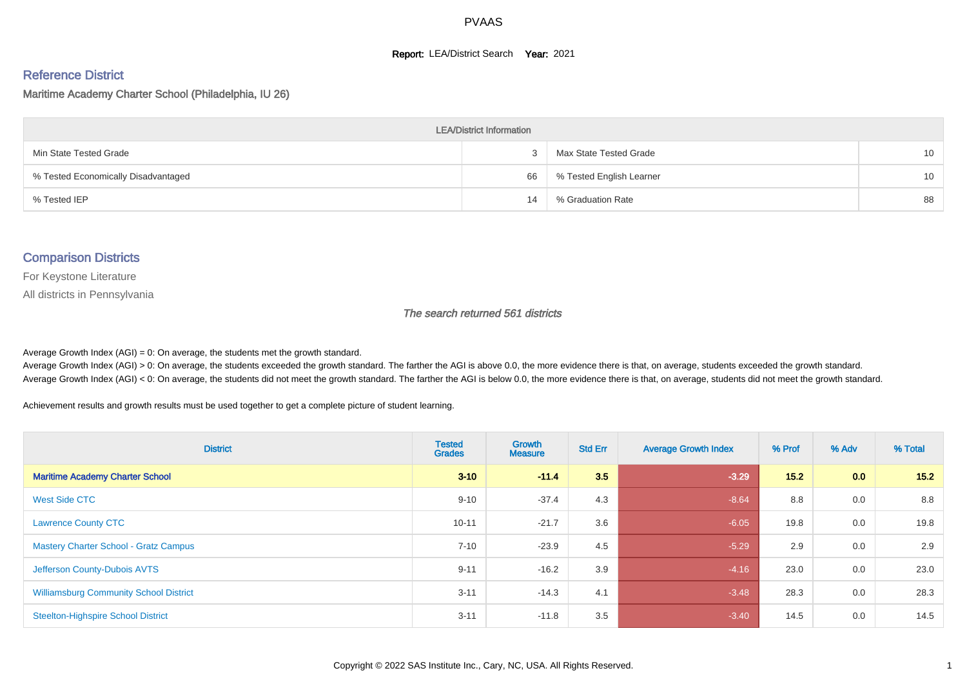#### **Report: LEA/District Search Year: 2021**

# Reference District

Maritime Academy Charter School (Philadelphia, IU 26)

| <b>LEA/District Information</b>     |    |                          |                 |  |  |  |  |  |  |  |
|-------------------------------------|----|--------------------------|-----------------|--|--|--|--|--|--|--|
| Min State Tested Grade              |    | Max State Tested Grade   | 10 <sup>1</sup> |  |  |  |  |  |  |  |
| % Tested Economically Disadvantaged | 66 | % Tested English Learner | 10 <sup>1</sup> |  |  |  |  |  |  |  |
| % Tested IEP                        | 14 | % Graduation Rate        | 88              |  |  |  |  |  |  |  |

#### Comparison Districts

For Keystone Literature

All districts in Pennsylvania

The search returned 561 districts

Average Growth Index  $(AGI) = 0$ : On average, the students met the growth standard.

Average Growth Index (AGI) > 0: On average, the students exceeded the growth standard. The farther the AGI is above 0.0, the more evidence there is that, on average, students exceeded the growth standard. Average Growth Index (AGI) < 0: On average, the students did not meet the growth standard. The farther the AGI is below 0.0, the more evidence there is that, on average, students did not meet the growth standard.

Achievement results and growth results must be used together to get a complete picture of student learning.

| <b>District</b>                               | <b>Tested</b><br><b>Grades</b> | Growth<br><b>Measure</b> | <b>Std Err</b> | <b>Average Growth Index</b> | % Prof | % Adv            | % Total |
|-----------------------------------------------|--------------------------------|--------------------------|----------------|-----------------------------|--------|------------------|---------|
| <b>Maritime Academy Charter School</b>        | $3 - 10$                       | $-11.4$                  | 3.5            | $-3.29$                     | 15.2   | 0.0 <sub>1</sub> | 15.2    |
| West Side CTC                                 | $9 - 10$                       | $-37.4$                  | 4.3            | $-8.64$                     | 8.8    | 0.0              | 8.8     |
| <b>Lawrence County CTC</b>                    | $10 - 11$                      | $-21.7$                  | 3.6            | $-6.05$                     | 19.8   | 0.0              | 19.8    |
| <b>Mastery Charter School - Gratz Campus</b>  | $7 - 10$                       | $-23.9$                  | 4.5            | $-5.29$                     | 2.9    | 0.0              | 2.9     |
| Jefferson County-Dubois AVTS                  | $9 - 11$                       | $-16.2$                  | 3.9            | $-4.16$                     | 23.0   | 0.0              | 23.0    |
| <b>Williamsburg Community School District</b> | $3 - 11$                       | $-14.3$                  | 4.1            | $-3.48$                     | 28.3   | 0.0              | 28.3    |
| <b>Steelton-Highspire School District</b>     | $3 - 11$                       | $-11.8$                  | 3.5            | $-3.40$                     | 14.5   | 0.0              | 14.5    |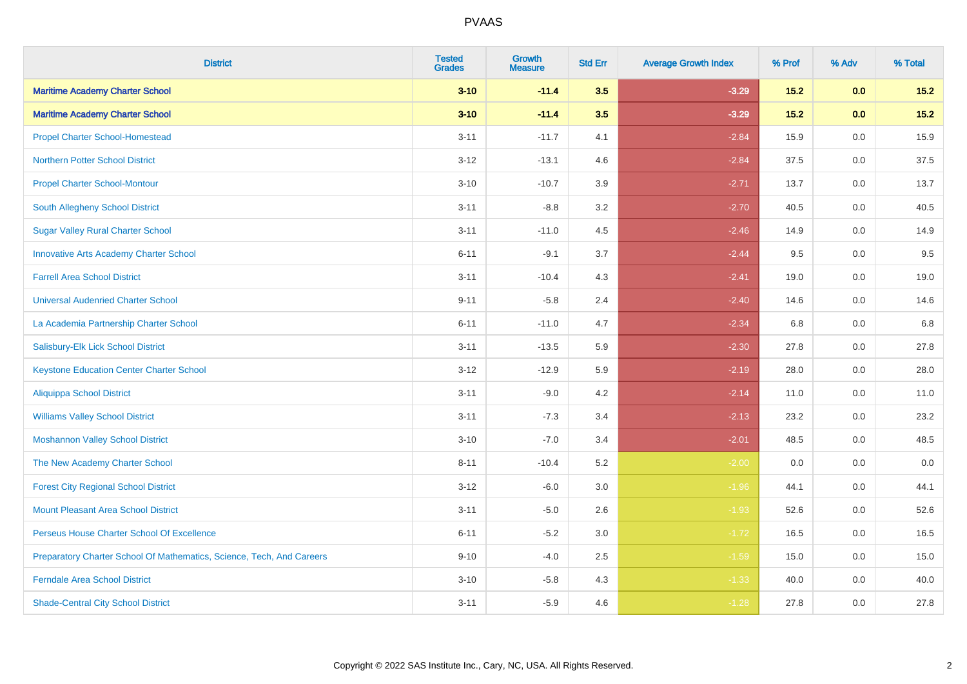| <b>District</b>                                                       | <b>Tested</b><br><b>Grades</b> | <b>Growth</b><br><b>Measure</b> | <b>Std Err</b> | <b>Average Growth Index</b> | % Prof | % Adv   | % Total |
|-----------------------------------------------------------------------|--------------------------------|---------------------------------|----------------|-----------------------------|--------|---------|---------|
| <b>Maritime Academy Charter School</b>                                | $3 - 10$                       | $-11.4$                         | 3.5            | $-3.29$                     | $15.2$ | 0.0     | $15.2$  |
| <b>Maritime Academy Charter School</b>                                | $3 - 10$                       | $-11.4$                         | 3.5            | $-3.29$                     | $15.2$ | 0.0     | $15.2$  |
| <b>Propel Charter School-Homestead</b>                                | $3 - 11$                       | $-11.7$                         | 4.1            | $-2.84$                     | 15.9   | 0.0     | 15.9    |
| <b>Northern Potter School District</b>                                | $3 - 12$                       | $-13.1$                         | 4.6            | $-2.84$                     | 37.5   | 0.0     | 37.5    |
| <b>Propel Charter School-Montour</b>                                  | $3 - 10$                       | $-10.7$                         | 3.9            | $-2.71$                     | 13.7   | 0.0     | 13.7    |
| South Allegheny School District                                       | $3 - 11$                       | $-8.8$                          | 3.2            | $-2.70$                     | 40.5   | 0.0     | 40.5    |
| <b>Sugar Valley Rural Charter School</b>                              | $3 - 11$                       | $-11.0$                         | 4.5            | $-2.46$                     | 14.9   | 0.0     | 14.9    |
| <b>Innovative Arts Academy Charter School</b>                         | $6 - 11$                       | $-9.1$                          | 3.7            | $-2.44$                     | 9.5    | 0.0     | 9.5     |
| <b>Farrell Area School District</b>                                   | $3 - 11$                       | $-10.4$                         | 4.3            | $-2.41$                     | 19.0   | 0.0     | 19.0    |
| <b>Universal Audenried Charter School</b>                             | $9 - 11$                       | $-5.8$                          | 2.4            | $-2.40$                     | 14.6   | 0.0     | 14.6    |
| La Academia Partnership Charter School                                | $6 - 11$                       | $-11.0$                         | 4.7            | $-2.34$                     | 6.8    | 0.0     | 6.8     |
| Salisbury-Elk Lick School District                                    | $3 - 11$                       | $-13.5$                         | 5.9            | $-2.30$                     | 27.8   | 0.0     | 27.8    |
| <b>Keystone Education Center Charter School</b>                       | $3-12$                         | $-12.9$                         | 5.9            | $-2.19$                     | 28.0   | 0.0     | 28.0    |
| <b>Aliquippa School District</b>                                      | $3 - 11$                       | $-9.0$                          | 4.2            | $-2.14$                     | 11.0   | 0.0     | 11.0    |
| <b>Williams Valley School District</b>                                | $3 - 11$                       | $-7.3$                          | 3.4            | $-2.13$                     | 23.2   | 0.0     | 23.2    |
| <b>Moshannon Valley School District</b>                               | $3 - 10$                       | $-7.0$                          | 3.4            | $-2.01$                     | 48.5   | $0.0\,$ | 48.5    |
| The New Academy Charter School                                        | $8 - 11$                       | $-10.4$                         | 5.2            | $-2.00$                     | 0.0    | 0.0     | 0.0     |
| <b>Forest City Regional School District</b>                           | $3 - 12$                       | $-6.0$                          | 3.0            | $-1.96$                     | 44.1   | 0.0     | 44.1    |
| <b>Mount Pleasant Area School District</b>                            | $3 - 11$                       | $-5.0$                          | 2.6            | $-1.93$                     | 52.6   | 0.0     | 52.6    |
| Perseus House Charter School Of Excellence                            | $6 - 11$                       | $-5.2$                          | 3.0            | $-1.72$                     | 16.5   | 0.0     | 16.5    |
| Preparatory Charter School Of Mathematics, Science, Tech, And Careers | $9 - 10$                       | $-4.0$                          | 2.5            | $-1.59$                     | 15.0   | 0.0     | 15.0    |
| <b>Ferndale Area School District</b>                                  | $3 - 10$                       | $-5.8$                          | 4.3            | $-1.33$                     | 40.0   | 0.0     | 40.0    |
| <b>Shade-Central City School District</b>                             | $3 - 11$                       | $-5.9$                          | 4.6            | $-1.28$                     | 27.8   | 0.0     | 27.8    |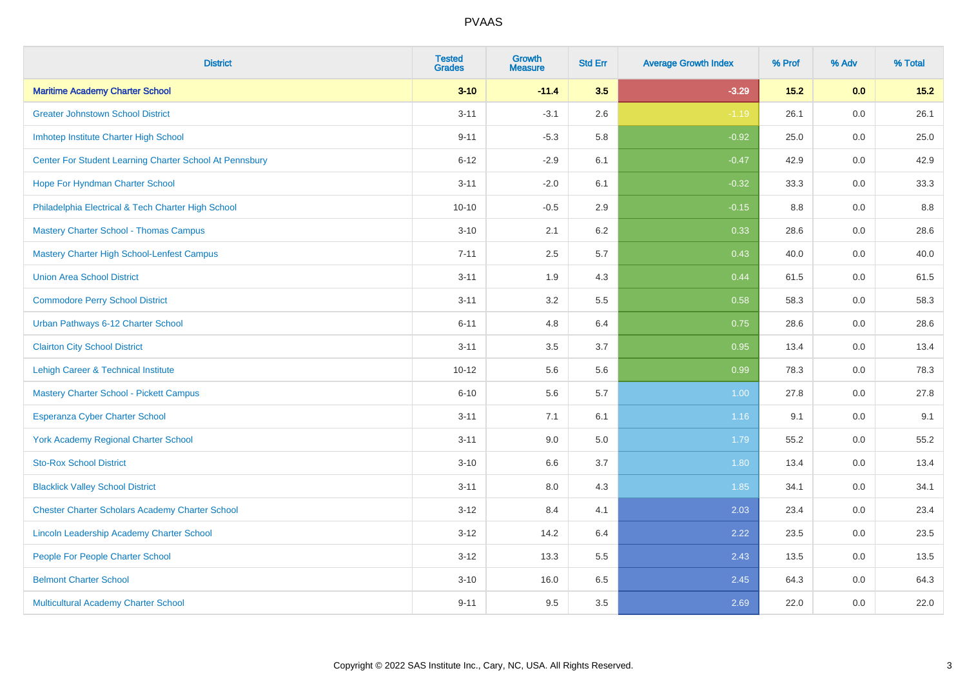| <b>District</b>                                         | <b>Tested</b><br><b>Grades</b> | <b>Growth</b><br><b>Measure</b> | <b>Std Err</b> | <b>Average Growth Index</b> | % Prof | % Adv   | % Total |
|---------------------------------------------------------|--------------------------------|---------------------------------|----------------|-----------------------------|--------|---------|---------|
| <b>Maritime Academy Charter School</b>                  | $3 - 10$                       | $-11.4$                         | 3.5            | $-3.29$                     | 15.2   | 0.0     | 15.2    |
| <b>Greater Johnstown School District</b>                | $3 - 11$                       | $-3.1$                          | 2.6            | $-1.19$                     | 26.1   | $0.0\,$ | 26.1    |
| Imhotep Institute Charter High School                   | $9 - 11$                       | $-5.3$                          | 5.8            | $-0.92$                     | 25.0   | 0.0     | 25.0    |
| Center For Student Learning Charter School At Pennsbury | $6 - 12$                       | $-2.9$                          | 6.1            | $-0.47$                     | 42.9   | 0.0     | 42.9    |
| Hope For Hyndman Charter School                         | $3 - 11$                       | $-2.0$                          | 6.1            | $-0.32$                     | 33.3   | 0.0     | 33.3    |
| Philadelphia Electrical & Tech Charter High School      | $10 - 10$                      | $-0.5$                          | 2.9            | $-0.15$                     | 8.8    | 0.0     | 8.8     |
| <b>Mastery Charter School - Thomas Campus</b>           | $3 - 10$                       | 2.1                             | 6.2            | 0.33                        | 28.6   | 0.0     | 28.6    |
| <b>Mastery Charter High School-Lenfest Campus</b>       | $7 - 11$                       | 2.5                             | 5.7            | 0.43                        | 40.0   | 0.0     | 40.0    |
| <b>Union Area School District</b>                       | $3 - 11$                       | 1.9                             | 4.3            | 0.44                        | 61.5   | 0.0     | 61.5    |
| <b>Commodore Perry School District</b>                  | $3 - 11$                       | 3.2                             | 5.5            | 0.58                        | 58.3   | 0.0     | 58.3    |
| Urban Pathways 6-12 Charter School                      | $6 - 11$                       | 4.8                             | 6.4            | 0.75                        | 28.6   | 0.0     | 28.6    |
| <b>Clairton City School District</b>                    | $3 - 11$                       | 3.5                             | 3.7            | 0.95                        | 13.4   | 0.0     | 13.4    |
| Lehigh Career & Technical Institute                     | $10 - 12$                      | 5.6                             | 5.6            | 0.99                        | 78.3   | 0.0     | 78.3    |
| <b>Mastery Charter School - Pickett Campus</b>          | $6 - 10$                       | 5.6                             | 5.7            | 1.00                        | 27.8   | 0.0     | 27.8    |
| <b>Esperanza Cyber Charter School</b>                   | $3 - 11$                       | 7.1                             | 6.1            | 1.16                        | 9.1    | 0.0     | 9.1     |
| <b>York Academy Regional Charter School</b>             | $3 - 11$                       | 9.0                             | 5.0            | 1.79                        | 55.2   | $0.0\,$ | 55.2    |
| <b>Sto-Rox School District</b>                          | $3 - 10$                       | 6.6                             | 3.7            | 1.80                        | 13.4   | 0.0     | 13.4    |
| <b>Blacklick Valley School District</b>                 | $3 - 11$                       | 8.0                             | 4.3            | 1.85                        | 34.1   | 0.0     | 34.1    |
| <b>Chester Charter Scholars Academy Charter School</b>  | $3 - 12$                       | 8.4                             | 4.1            | 2.03                        | 23.4   | 0.0     | 23.4    |
| Lincoln Leadership Academy Charter School               | $3 - 12$                       | 14.2                            | 6.4            | 2.22                        | 23.5   | 0.0     | 23.5    |
| People For People Charter School                        | $3 - 12$                       | 13.3                            | 5.5            | 2.43                        | 13.5   | 0.0     | 13.5    |
| <b>Belmont Charter School</b>                           | $3 - 10$                       | 16.0                            | 6.5            | 2.45                        | 64.3   | 0.0     | 64.3    |
| Multicultural Academy Charter School                    | $9 - 11$                       | 9.5                             | 3.5            | 2.69                        | 22.0   | 0.0     | 22.0    |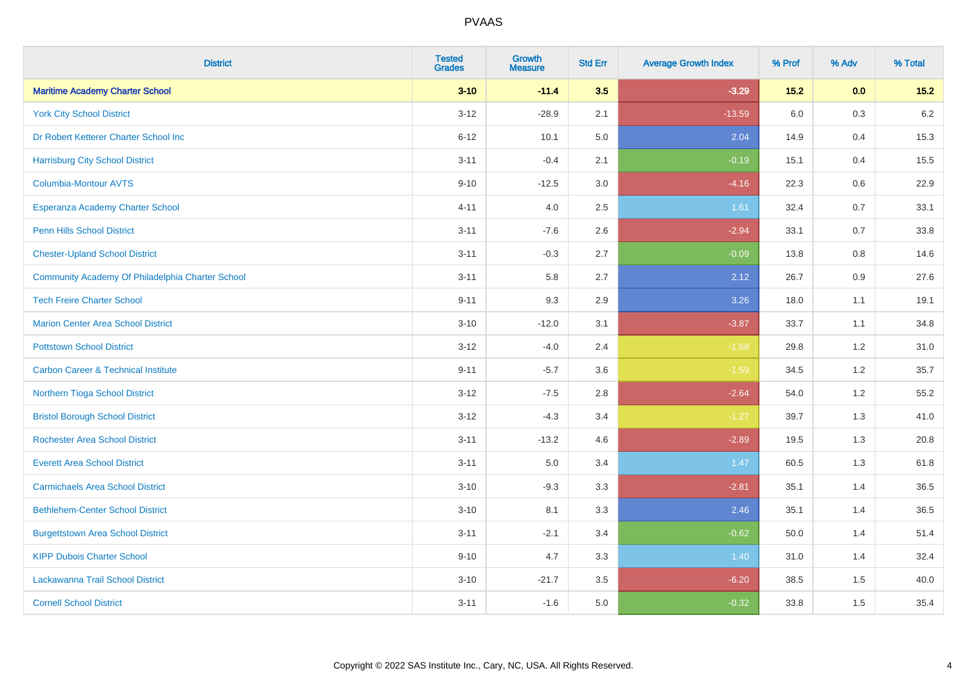| <b>District</b>                                  | <b>Tested</b><br><b>Grades</b> | <b>Growth</b><br><b>Measure</b> | <b>Std Err</b> | <b>Average Growth Index</b> | % Prof  | % Adv | % Total |
|--------------------------------------------------|--------------------------------|---------------------------------|----------------|-----------------------------|---------|-------|---------|
| <b>Maritime Academy Charter School</b>           | $3 - 10$                       | $-11.4$                         | 3.5            | $-3.29$                     | $15.2$  | 0.0   | $15.2$  |
| <b>York City School District</b>                 | $3 - 12$                       | $-28.9$                         | 2.1            | $-13.59$                    | $6.0\,$ | 0.3   | $6.2\,$ |
| Dr Robert Ketterer Charter School Inc            | $6 - 12$                       | 10.1                            | 5.0            | 2.04                        | 14.9    | 0.4   | 15.3    |
| <b>Harrisburg City School District</b>           | $3 - 11$                       | $-0.4$                          | 2.1            | $-0.19$                     | 15.1    | 0.4   | 15.5    |
| <b>Columbia-Montour AVTS</b>                     | $9 - 10$                       | $-12.5$                         | 3.0            | $-4.16$                     | 22.3    | 0.6   | 22.9    |
| Esperanza Academy Charter School                 | $4 - 11$                       | 4.0                             | 2.5            | 1.61                        | 32.4    | 0.7   | 33.1    |
| Penn Hills School District                       | $3 - 11$                       | $-7.6$                          | 2.6            | $-2.94$                     | 33.1    | 0.7   | 33.8    |
| <b>Chester-Upland School District</b>            | $3 - 11$                       | $-0.3$                          | 2.7            | $-0.09$                     | 13.8    | 0.8   | 14.6    |
| Community Academy Of Philadelphia Charter School | $3 - 11$                       | 5.8                             | 2.7            | 2.12                        | 26.7    | 0.9   | 27.6    |
| <b>Tech Freire Charter School</b>                | $9 - 11$                       | 9.3                             | 2.9            | 3.26                        | 18.0    | 1.1   | 19.1    |
| <b>Marion Center Area School District</b>        | $3 - 10$                       | $-12.0$                         | 3.1            | $-3.87$                     | 33.7    | 1.1   | 34.8    |
| <b>Pottstown School District</b>                 | $3 - 12$                       | $-4.0$                          | 2.4            | $-1.68$                     | 29.8    | 1.2   | 31.0    |
| <b>Carbon Career &amp; Technical Institute</b>   | $9 - 11$                       | $-5.7$                          | 3.6            | $-1.59$                     | 34.5    | 1.2   | 35.7    |
| Northern Tioga School District                   | $3 - 12$                       | $-7.5$                          | 2.8            | $-2.64$                     | 54.0    | 1.2   | 55.2    |
| <b>Bristol Borough School District</b>           | $3 - 12$                       | $-4.3$                          | 3.4            | $-1.27$                     | 39.7    | 1.3   | 41.0    |
| <b>Rochester Area School District</b>            | $3 - 11$                       | $-13.2$                         | 4.6            | $-2.89$                     | 19.5    | 1.3   | 20.8    |
| <b>Everett Area School District</b>              | $3 - 11$                       | 5.0                             | 3.4            | 1.47                        | 60.5    | 1.3   | 61.8    |
| <b>Carmichaels Area School District</b>          | $3 - 10$                       | $-9.3$                          | 3.3            | $-2.81$                     | 35.1    | 1.4   | 36.5    |
| <b>Bethlehem-Center School District</b>          | $3 - 10$                       | 8.1                             | 3.3            | 2.46                        | 35.1    | 1.4   | 36.5    |
| <b>Burgettstown Area School District</b>         | $3 - 11$                       | $-2.1$                          | 3.4            | $-0.62$                     | 50.0    | 1.4   | 51.4    |
| <b>KIPP Dubois Charter School</b>                | $9 - 10$                       | 4.7                             | 3.3            | 1.40                        | 31.0    | 1.4   | 32.4    |
| Lackawanna Trail School District                 | $3 - 10$                       | $-21.7$                         | 3.5            | $-6.20$                     | 38.5    | 1.5   | 40.0    |
| <b>Cornell School District</b>                   | $3 - 11$                       | $-1.6$                          | 5.0            | $-0.32$                     | 33.8    | 1.5   | 35.4    |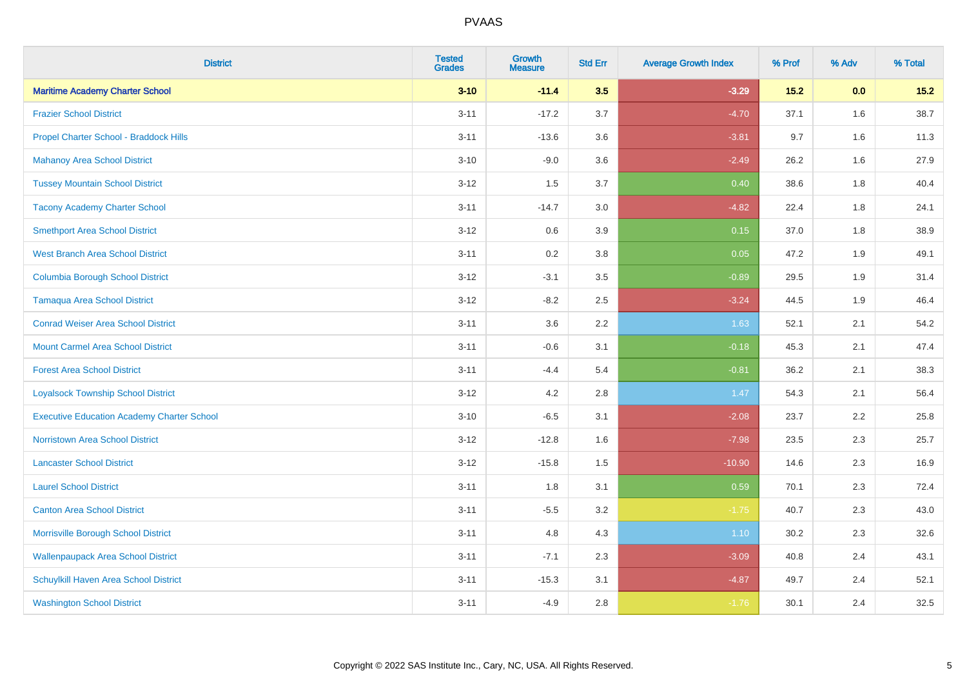| <b>District</b>                                   | <b>Tested</b><br><b>Grades</b> | <b>Growth</b><br><b>Measure</b> | <b>Std Err</b> | <b>Average Growth Index</b> | % Prof | % Adv | % Total |
|---------------------------------------------------|--------------------------------|---------------------------------|----------------|-----------------------------|--------|-------|---------|
| <b>Maritime Academy Charter School</b>            | $3 - 10$                       | $-11.4$                         | 3.5            | $-3.29$                     | $15.2$ | 0.0   | $15.2$  |
| <b>Frazier School District</b>                    | $3 - 11$                       | $-17.2$                         | 3.7            | $-4.70$                     | 37.1   | 1.6   | 38.7    |
| Propel Charter School - Braddock Hills            | $3 - 11$                       | $-13.6$                         | 3.6            | $-3.81$                     | 9.7    | 1.6   | 11.3    |
| <b>Mahanoy Area School District</b>               | $3 - 10$                       | $-9.0$                          | 3.6            | $-2.49$                     | 26.2   | 1.6   | 27.9    |
| <b>Tussey Mountain School District</b>            | $3 - 12$                       | 1.5                             | 3.7            | 0.40                        | 38.6   | 1.8   | 40.4    |
| <b>Tacony Academy Charter School</b>              | $3 - 11$                       | $-14.7$                         | 3.0            | $-4.82$                     | 22.4   | 1.8   | 24.1    |
| <b>Smethport Area School District</b>             | $3 - 12$                       | 0.6                             | 3.9            | 0.15                        | 37.0   | 1.8   | 38.9    |
| <b>West Branch Area School District</b>           | $3 - 11$                       | 0.2                             | $3.8\,$        | 0.05                        | 47.2   | 1.9   | 49.1    |
| <b>Columbia Borough School District</b>           | $3 - 12$                       | $-3.1$                          | 3.5            | $-0.89$                     | 29.5   | 1.9   | 31.4    |
| <b>Tamaqua Area School District</b>               | $3 - 12$                       | $-8.2$                          | 2.5            | $-3.24$                     | 44.5   | 1.9   | 46.4    |
| <b>Conrad Weiser Area School District</b>         | $3 - 11$                       | 3.6                             | 2.2            | 1.63                        | 52.1   | 2.1   | 54.2    |
| <b>Mount Carmel Area School District</b>          | $3 - 11$                       | $-0.6$                          | 3.1            | $-0.18$                     | 45.3   | 2.1   | 47.4    |
| <b>Forest Area School District</b>                | $3 - 11$                       | $-4.4$                          | 5.4            | $-0.81$                     | 36.2   | 2.1   | 38.3    |
| <b>Loyalsock Township School District</b>         | $3 - 12$                       | 4.2                             | 2.8            | 1.47                        | 54.3   | 2.1   | 56.4    |
| <b>Executive Education Academy Charter School</b> | $3 - 10$                       | $-6.5$                          | 3.1            | $-2.08$                     | 23.7   | 2.2   | 25.8    |
| <b>Norristown Area School District</b>            | $3 - 12$                       | $-12.8$                         | 1.6            | $-7.98$                     | 23.5   | 2.3   | 25.7    |
| <b>Lancaster School District</b>                  | $3 - 12$                       | $-15.8$                         | 1.5            | $-10.90$                    | 14.6   | 2.3   | 16.9    |
| <b>Laurel School District</b>                     | $3 - 11$                       | 1.8                             | 3.1            | 0.59                        | 70.1   | 2.3   | 72.4    |
| <b>Canton Area School District</b>                | $3 - 11$                       | $-5.5$                          | 3.2            | $-1.75$                     | 40.7   | 2.3   | 43.0    |
| Morrisville Borough School District               | $3 - 11$                       | 4.8                             | 4.3            | 1.10                        | 30.2   | 2.3   | 32.6    |
| <b>Wallenpaupack Area School District</b>         | $3 - 11$                       | $-7.1$                          | 2.3            | $-3.09$                     | 40.8   | 2.4   | 43.1    |
| Schuylkill Haven Area School District             | $3 - 11$                       | $-15.3$                         | 3.1            | $-4.87$                     | 49.7   | 2.4   | 52.1    |
| <b>Washington School District</b>                 | $3 - 11$                       | $-4.9$                          | 2.8            | $-1.76$                     | 30.1   | 2.4   | 32.5    |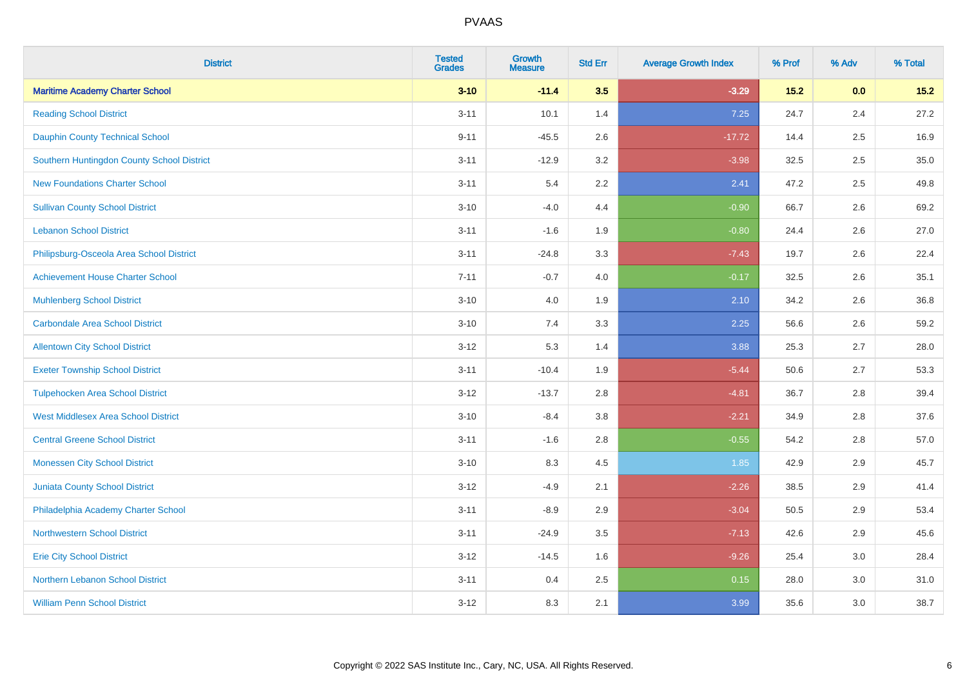| <b>District</b>                            | <b>Tested</b><br><b>Grades</b> | <b>Growth</b><br><b>Measure</b> | <b>Std Err</b> | <b>Average Growth Index</b> | % Prof | % Adv | % Total |
|--------------------------------------------|--------------------------------|---------------------------------|----------------|-----------------------------|--------|-------|---------|
| <b>Maritime Academy Charter School</b>     | $3 - 10$                       | $-11.4$                         | 3.5            | $-3.29$                     | $15.2$ | 0.0   | $15.2$  |
| <b>Reading School District</b>             | $3 - 11$                       | 10.1                            | 1.4            | 7.25                        | 24.7   | 2.4   | 27.2    |
| <b>Dauphin County Technical School</b>     | $9 - 11$                       | $-45.5$                         | 2.6            | $-17.72$                    | 14.4   | 2.5   | 16.9    |
| Southern Huntingdon County School District | $3 - 11$                       | $-12.9$                         | 3.2            | $-3.98$                     | 32.5   | 2.5   | 35.0    |
| <b>New Foundations Charter School</b>      | $3 - 11$                       | 5.4                             | 2.2            | 2.41                        | 47.2   | 2.5   | 49.8    |
| <b>Sullivan County School District</b>     | $3 - 10$                       | $-4.0$                          | 4.4            | $-0.90$                     | 66.7   | 2.6   | 69.2    |
| <b>Lebanon School District</b>             | $3 - 11$                       | $-1.6$                          | 1.9            | $-0.80$                     | 24.4   | 2.6   | 27.0    |
| Philipsburg-Osceola Area School District   | $3 - 11$                       | $-24.8$                         | 3.3            | $-7.43$                     | 19.7   | 2.6   | 22.4    |
| <b>Achievement House Charter School</b>    | $7 - 11$                       | $-0.7$                          | 4.0            | $-0.17$                     | 32.5   | 2.6   | 35.1    |
| <b>Muhlenberg School District</b>          | $3 - 10$                       | 4.0                             | 1.9            | 2.10                        | 34.2   | 2.6   | 36.8    |
| <b>Carbondale Area School District</b>     | $3 - 10$                       | 7.4                             | 3.3            | 2.25                        | 56.6   | 2.6   | 59.2    |
| <b>Allentown City School District</b>      | $3 - 12$                       | 5.3                             | 1.4            | 3.88                        | 25.3   | 2.7   | 28.0    |
| <b>Exeter Township School District</b>     | $3 - 11$                       | $-10.4$                         | 1.9            | $-5.44$                     | 50.6   | 2.7   | 53.3    |
| <b>Tulpehocken Area School District</b>    | $3 - 12$                       | $-13.7$                         | 2.8            | $-4.81$                     | 36.7   | 2.8   | 39.4    |
| <b>West Middlesex Area School District</b> | $3 - 10$                       | $-8.4$                          | $3.8\,$        | $-2.21$                     | 34.9   | 2.8   | 37.6    |
| <b>Central Greene School District</b>      | $3 - 11$                       | $-1.6$                          | 2.8            | $-0.55$                     | 54.2   | 2.8   | 57.0    |
| <b>Monessen City School District</b>       | $3 - 10$                       | 8.3                             | 4.5            | 1.85                        | 42.9   | 2.9   | 45.7    |
| Juniata County School District             | $3 - 12$                       | $-4.9$                          | 2.1            | $-2.26$                     | 38.5   | 2.9   | 41.4    |
| Philadelphia Academy Charter School        | $3 - 11$                       | $-8.9$                          | 2.9            | $-3.04$                     | 50.5   | 2.9   | 53.4    |
| <b>Northwestern School District</b>        | $3 - 11$                       | $-24.9$                         | 3.5            | $-7.13$                     | 42.6   | 2.9   | 45.6    |
| <b>Erie City School District</b>           | $3 - 12$                       | $-14.5$                         | 1.6            | $-9.26$                     | 25.4   | 3.0   | 28.4    |
| Northern Lebanon School District           | $3 - 11$                       | 0.4                             | 2.5            | 0.15                        | 28.0   | 3.0   | 31.0    |
| <b>William Penn School District</b>        | $3 - 12$                       | 8.3                             | 2.1            | 3.99                        | 35.6   | 3.0   | 38.7    |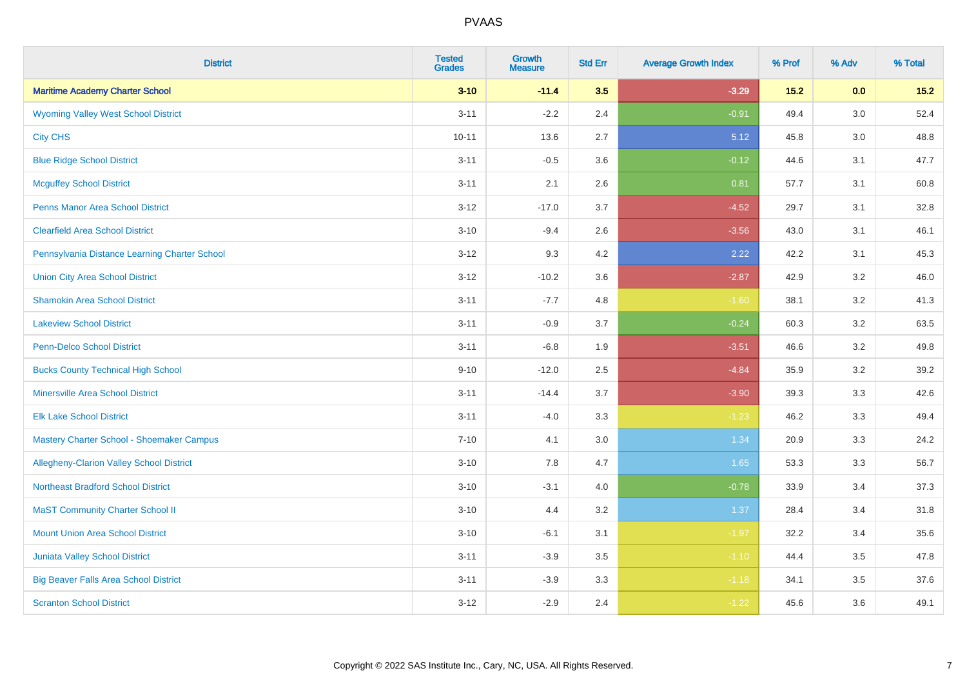| <b>District</b>                                 | <b>Tested</b><br><b>Grades</b> | <b>Growth</b><br><b>Measure</b> | <b>Std Err</b> | <b>Average Growth Index</b> | % Prof | % Adv   | % Total |
|-------------------------------------------------|--------------------------------|---------------------------------|----------------|-----------------------------|--------|---------|---------|
| <b>Maritime Academy Charter School</b>          | $3 - 10$                       | $-11.4$                         | 3.5            | $-3.29$                     | $15.2$ | 0.0     | $15.2$  |
| <b>Wyoming Valley West School District</b>      | $3 - 11$                       | $-2.2$                          | 2.4            | $-0.91$                     | 49.4   | $3.0\,$ | 52.4    |
| <b>City CHS</b>                                 | $10 - 11$                      | 13.6                            | 2.7            | 5.12                        | 45.8   | 3.0     | 48.8    |
| <b>Blue Ridge School District</b>               | $3 - 11$                       | $-0.5$                          | 3.6            | $-0.12$                     | 44.6   | 3.1     | 47.7    |
| <b>Mcguffey School District</b>                 | $3 - 11$                       | 2.1                             | 2.6            | 0.81                        | 57.7   | 3.1     | 60.8    |
| <b>Penns Manor Area School District</b>         | $3 - 12$                       | $-17.0$                         | 3.7            | $-4.52$                     | 29.7   | 3.1     | 32.8    |
| <b>Clearfield Area School District</b>          | $3 - 10$                       | $-9.4$                          | 2.6            | $-3.56$                     | 43.0   | 3.1     | 46.1    |
| Pennsylvania Distance Learning Charter School   | $3 - 12$                       | 9.3                             | 4.2            | 2.22                        | 42.2   | 3.1     | 45.3    |
| <b>Union City Area School District</b>          | $3 - 12$                       | $-10.2$                         | 3.6            | $-2.87$                     | 42.9   | 3.2     | 46.0    |
| <b>Shamokin Area School District</b>            | $3 - 11$                       | $-7.7$                          | 4.8            | $-1.60$                     | 38.1   | 3.2     | 41.3    |
| <b>Lakeview School District</b>                 | $3 - 11$                       | $-0.9$                          | 3.7            | $-0.24$                     | 60.3   | 3.2     | 63.5    |
| <b>Penn-Delco School District</b>               | $3 - 11$                       | $-6.8$                          | 1.9            | $-3.51$                     | 46.6   | 3.2     | 49.8    |
| <b>Bucks County Technical High School</b>       | $9 - 10$                       | $-12.0$                         | 2.5            | $-4.84$                     | 35.9   | 3.2     | 39.2    |
| <b>Minersville Area School District</b>         | $3 - 11$                       | $-14.4$                         | 3.7            | $-3.90$                     | 39.3   | 3.3     | 42.6    |
| <b>Elk Lake School District</b>                 | $3 - 11$                       | $-4.0$                          | 3.3            | $-1.23$                     | 46.2   | 3.3     | 49.4    |
| Mastery Charter School - Shoemaker Campus       | $7 - 10$                       | 4.1                             | 3.0            | 1.34                        | 20.9   | 3.3     | 24.2    |
| <b>Allegheny-Clarion Valley School District</b> | $3 - 10$                       | 7.8                             | 4.7            | 1.65                        | 53.3   | 3.3     | 56.7    |
| <b>Northeast Bradford School District</b>       | $3 - 10$                       | $-3.1$                          | 4.0            | $-0.78$                     | 33.9   | 3.4     | 37.3    |
| <b>MaST Community Charter School II</b>         | $3 - 10$                       | 4.4                             | 3.2            | 1.37                        | 28.4   | 3.4     | 31.8    |
| <b>Mount Union Area School District</b>         | $3 - 10$                       | $-6.1$                          | 3.1            | $-1.97$                     | 32.2   | 3.4     | 35.6    |
| <b>Juniata Valley School District</b>           | $3 - 11$                       | $-3.9$                          | 3.5            | $-1.10$                     | 44.4   | 3.5     | 47.8    |
| <b>Big Beaver Falls Area School District</b>    | $3 - 11$                       | $-3.9$                          | 3.3            | $-1.18$                     | 34.1   | 3.5     | 37.6    |
| <b>Scranton School District</b>                 | $3 - 12$                       | $-2.9$                          | 2.4            | $-1.22$                     | 45.6   | 3.6     | 49.1    |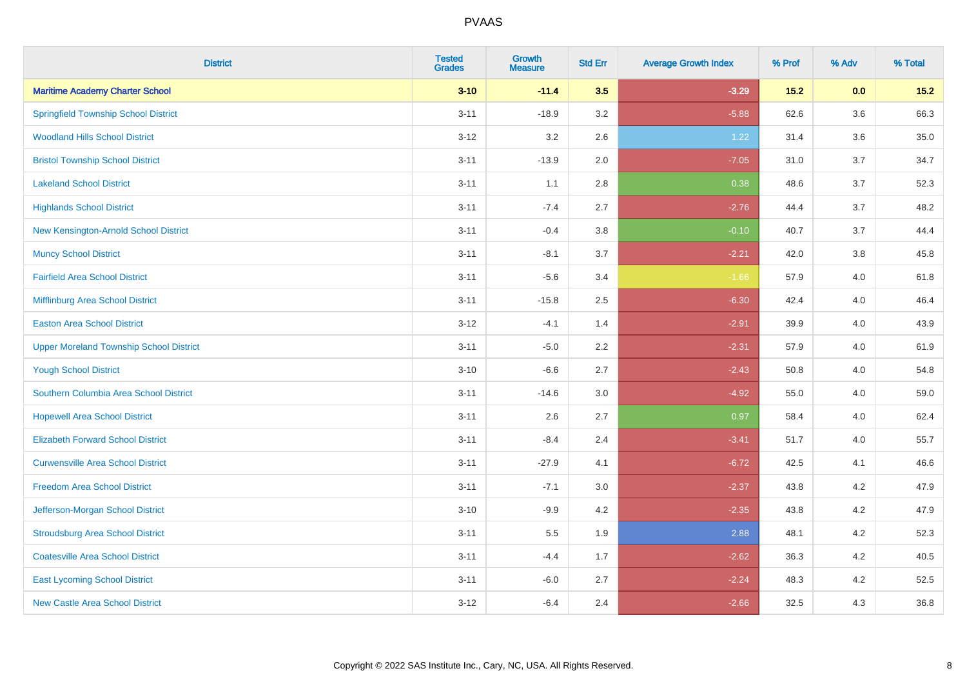| <b>District</b>                                | <b>Tested</b><br><b>Grades</b> | <b>Growth</b><br><b>Measure</b> | <b>Std Err</b> | <b>Average Growth Index</b> | % Prof | % Adv   | % Total |
|------------------------------------------------|--------------------------------|---------------------------------|----------------|-----------------------------|--------|---------|---------|
| <b>Maritime Academy Charter School</b>         | $3 - 10$                       | $-11.4$                         | 3.5            | $-3.29$                     | 15.2   | 0.0     | 15.2    |
| <b>Springfield Township School District</b>    | $3 - 11$                       | $-18.9$                         | 3.2            | $-5.88$                     | 62.6   | $3.6\,$ | 66.3    |
| <b>Woodland Hills School District</b>          | $3 - 12$                       | 3.2                             | 2.6            | 1.22                        | 31.4   | 3.6     | 35.0    |
| <b>Bristol Township School District</b>        | $3 - 11$                       | $-13.9$                         | 2.0            | $-7.05$                     | 31.0   | 3.7     | 34.7    |
| <b>Lakeland School District</b>                | $3 - 11$                       | 1.1                             | 2.8            | 0.38                        | 48.6   | 3.7     | 52.3    |
| <b>Highlands School District</b>               | $3 - 11$                       | $-7.4$                          | 2.7            | $-2.76$                     | 44.4   | 3.7     | 48.2    |
| New Kensington-Arnold School District          | $3 - 11$                       | $-0.4$                          | 3.8            | $-0.10$                     | 40.7   | 3.7     | 44.4    |
| <b>Muncy School District</b>                   | $3 - 11$                       | $-8.1$                          | 3.7            | $-2.21$                     | 42.0   | 3.8     | 45.8    |
| <b>Fairfield Area School District</b>          | $3 - 11$                       | $-5.6$                          | 3.4            | $-1.66$                     | 57.9   | 4.0     | 61.8    |
| Mifflinburg Area School District               | $3 - 11$                       | $-15.8$                         | 2.5            | $-6.30$                     | 42.4   | 4.0     | 46.4    |
| <b>Easton Area School District</b>             | $3 - 12$                       | $-4.1$                          | 1.4            | $-2.91$                     | 39.9   | 4.0     | 43.9    |
| <b>Upper Moreland Township School District</b> | $3 - 11$                       | $-5.0$                          | 2.2            | $-2.31$                     | 57.9   | 4.0     | 61.9    |
| <b>Yough School District</b>                   | $3 - 10$                       | $-6.6$                          | 2.7            | $-2.43$                     | 50.8   | 4.0     | 54.8    |
| Southern Columbia Area School District         | $3 - 11$                       | $-14.6$                         | 3.0            | $-4.92$                     | 55.0   | 4.0     | 59.0    |
| <b>Hopewell Area School District</b>           | $3 - 11$                       | 2.6                             | 2.7            | 0.97                        | 58.4   | 4.0     | 62.4    |
| <b>Elizabeth Forward School District</b>       | $3 - 11$                       | $-8.4$                          | 2.4            | $-3.41$                     | 51.7   | 4.0     | 55.7    |
| <b>Curwensville Area School District</b>       | $3 - 11$                       | $-27.9$                         | 4.1            | $-6.72$                     | 42.5   | 4.1     | 46.6    |
| <b>Freedom Area School District</b>            | $3 - 11$                       | $-7.1$                          | 3.0            | $-2.37$                     | 43.8   | 4.2     | 47.9    |
| Jefferson-Morgan School District               | $3 - 10$                       | $-9.9$                          | 4.2            | $-2.35$                     | 43.8   | 4.2     | 47.9    |
| <b>Stroudsburg Area School District</b>        | $3 - 11$                       | $5.5\,$                         | 1.9            | 2.88                        | 48.1   | 4.2     | 52.3    |
| <b>Coatesville Area School District</b>        | $3 - 11$                       | $-4.4$                          | 1.7            | $-2.62$                     | 36.3   | 4.2     | 40.5    |
| <b>East Lycoming School District</b>           | $3 - 11$                       | $-6.0$                          | 2.7            | $-2.24$                     | 48.3   | 4.2     | 52.5    |
| <b>New Castle Area School District</b>         | $3 - 12$                       | $-6.4$                          | 2.4            | $-2.66$                     | 32.5   | 4.3     | 36.8    |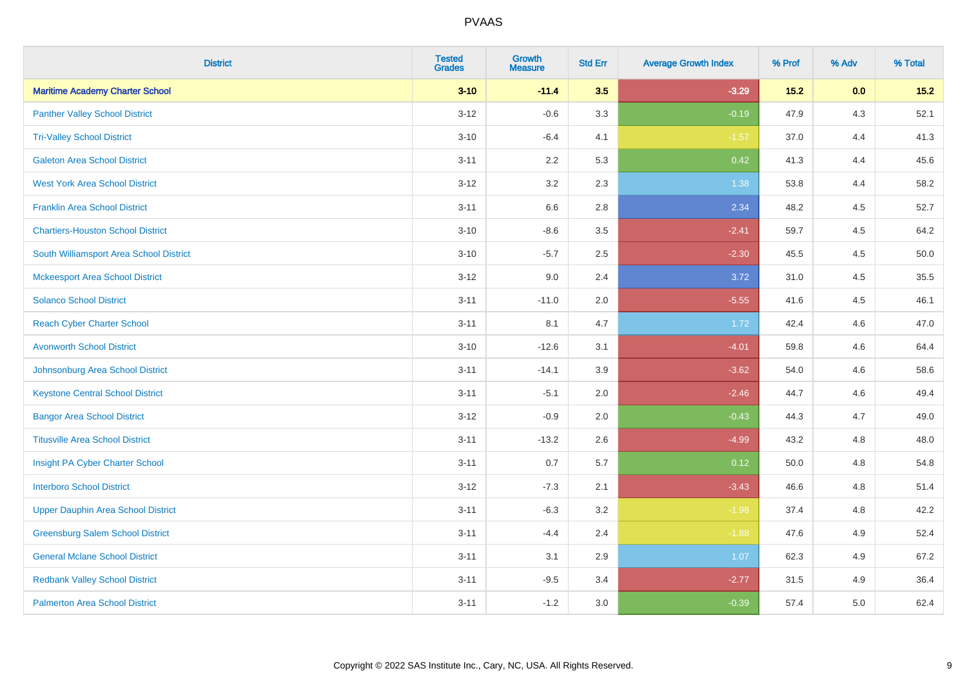| <b>District</b>                           | <b>Tested</b><br><b>Grades</b> | <b>Growth</b><br><b>Measure</b> | <b>Std Err</b> | <b>Average Growth Index</b> | % Prof | % Adv | % Total |
|-------------------------------------------|--------------------------------|---------------------------------|----------------|-----------------------------|--------|-------|---------|
| <b>Maritime Academy Charter School</b>    | $3 - 10$                       | $-11.4$                         | 3.5            | $-3.29$                     | $15.2$ | 0.0   | $15.2$  |
| <b>Panther Valley School District</b>     | $3 - 12$                       | $-0.6$                          | 3.3            | $-0.19$                     | 47.9   | $4.3$ | 52.1    |
| <b>Tri-Valley School District</b>         | $3 - 10$                       | $-6.4$                          | 4.1            | $-1.57$                     | 37.0   | 4.4   | 41.3    |
| <b>Galeton Area School District</b>       | $3 - 11$                       | 2.2                             | 5.3            | 0.42                        | 41.3   | 4.4   | 45.6    |
| <b>West York Area School District</b>     | $3 - 12$                       | 3.2                             | 2.3            | 1.38                        | 53.8   | 4.4   | 58.2    |
| <b>Franklin Area School District</b>      | $3 - 11$                       | 6.6                             | 2.8            | 2.34                        | 48.2   | 4.5   | 52.7    |
| <b>Chartiers-Houston School District</b>  | $3 - 10$                       | $-8.6$                          | 3.5            | $-2.41$                     | 59.7   | 4.5   | 64.2    |
| South Williamsport Area School District   | $3 - 10$                       | $-5.7$                          | 2.5            | $-2.30$                     | 45.5   | 4.5   | 50.0    |
| <b>Mckeesport Area School District</b>    | $3 - 12$                       | 9.0                             | 2.4            | 3.72                        | 31.0   | 4.5   | 35.5    |
| <b>Solanco School District</b>            | $3 - 11$                       | $-11.0$                         | 2.0            | $-5.55$                     | 41.6   | 4.5   | 46.1    |
| <b>Reach Cyber Charter School</b>         | $3 - 11$                       | 8.1                             | 4.7            | 1.72                        | 42.4   | 4.6   | 47.0    |
| <b>Avonworth School District</b>          | $3 - 10$                       | $-12.6$                         | 3.1            | $-4.01$                     | 59.8   | 4.6   | 64.4    |
| Johnsonburg Area School District          | $3 - 11$                       | $-14.1$                         | 3.9            | $-3.62$                     | 54.0   | 4.6   | 58.6    |
| <b>Keystone Central School District</b>   | $3 - 11$                       | $-5.1$                          | 2.0            | $-2.46$                     | 44.7   | 4.6   | 49.4    |
| <b>Bangor Area School District</b>        | $3 - 12$                       | $-0.9$                          | 2.0            | $-0.43$                     | 44.3   | 4.7   | 49.0    |
| <b>Titusville Area School District</b>    | $3 - 11$                       | $-13.2$                         | 2.6            | $-4.99$                     | 43.2   | 4.8   | 48.0    |
| Insight PA Cyber Charter School           | $3 - 11$                       | 0.7                             | 5.7            | 0.12                        | 50.0   | 4.8   | 54.8    |
| <b>Interboro School District</b>          | $3 - 12$                       | $-7.3$                          | 2.1            | $-3.43$                     | 46.6   | 4.8   | 51.4    |
| <b>Upper Dauphin Area School District</b> | $3 - 11$                       | $-6.3$                          | 3.2            | $-1.98$                     | 37.4   | 4.8   | 42.2    |
| <b>Greensburg Salem School District</b>   | $3 - 11$                       | $-4.4$                          | 2.4            | $-1.88$                     | 47.6   | 4.9   | 52.4    |
| <b>General Mclane School District</b>     | $3 - 11$                       | 3.1                             | 2.9            | 1.07                        | 62.3   | 4.9   | 67.2    |
| <b>Redbank Valley School District</b>     | $3 - 11$                       | $-9.5$                          | 3.4            | $-2.77$                     | 31.5   | 4.9   | 36.4    |
| <b>Palmerton Area School District</b>     | $3 - 11$                       | $-1.2$                          | 3.0            | $-0.39$                     | 57.4   | 5.0   | 62.4    |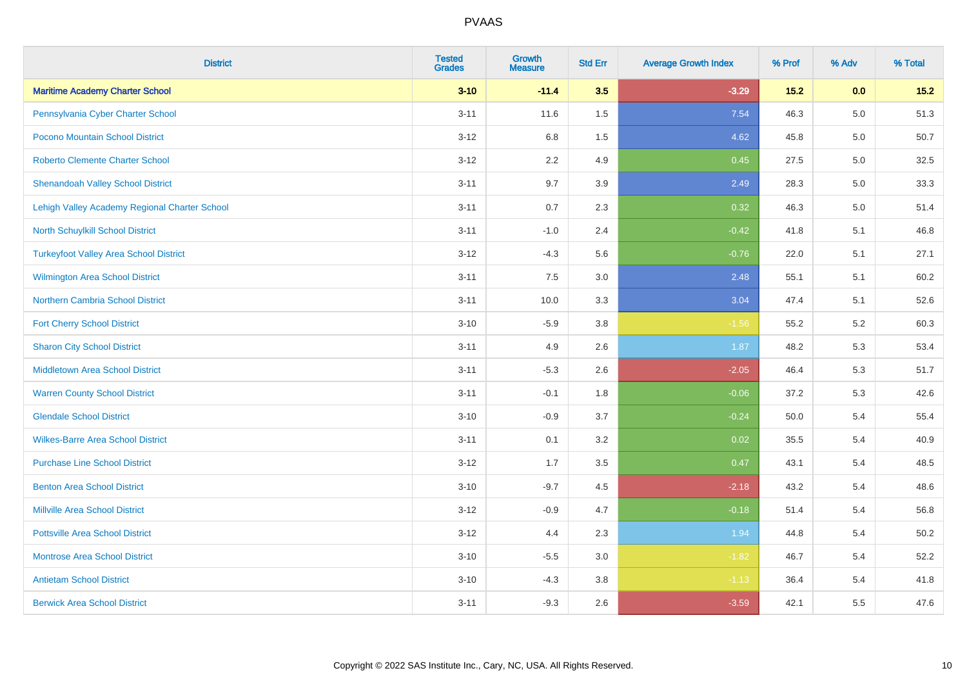| <b>District</b>                               | <b>Tested</b><br><b>Grades</b> | <b>Growth</b><br><b>Measure</b> | <b>Std Err</b> | <b>Average Growth Index</b> | % Prof | % Adv   | % Total |
|-----------------------------------------------|--------------------------------|---------------------------------|----------------|-----------------------------|--------|---------|---------|
| <b>Maritime Academy Charter School</b>        | $3 - 10$                       | $-11.4$                         | 3.5            | $-3.29$                     | $15.2$ | 0.0     | $15.2$  |
| Pennsylvania Cyber Charter School             | $3 - 11$                       | 11.6                            | $1.5\,$        | 7.54                        | 46.3   | $5.0\,$ | 51.3    |
| Pocono Mountain School District               | $3 - 12$                       | 6.8                             | 1.5            | 4.62                        | 45.8   | 5.0     | 50.7    |
| <b>Roberto Clemente Charter School</b>        | $3 - 12$                       | 2.2                             | 4.9            | 0.45                        | 27.5   | 5.0     | 32.5    |
| <b>Shenandoah Valley School District</b>      | $3 - 11$                       | 9.7                             | 3.9            | 2.49                        | 28.3   | 5.0     | 33.3    |
| Lehigh Valley Academy Regional Charter School | $3 - 11$                       | 0.7                             | 2.3            | 0.32                        | 46.3   | 5.0     | 51.4    |
| North Schuylkill School District              | $3 - 11$                       | $-1.0$                          | 2.4            | $-0.42$                     | 41.8   | 5.1     | 46.8    |
| <b>Turkeyfoot Valley Area School District</b> | $3 - 12$                       | $-4.3$                          | 5.6            | $-0.76$                     | 22.0   | 5.1     | 27.1    |
| <b>Wilmington Area School District</b>        | $3 - 11$                       | 7.5                             | 3.0            | 2.48                        | 55.1   | 5.1     | 60.2    |
| <b>Northern Cambria School District</b>       | $3 - 11$                       | 10.0                            | 3.3            | 3.04                        | 47.4   | 5.1     | 52.6    |
| <b>Fort Cherry School District</b>            | $3 - 10$                       | $-5.9$                          | 3.8            | $-1.56$                     | 55.2   | 5.2     | 60.3    |
| <b>Sharon City School District</b>            | $3 - 11$                       | 4.9                             | 2.6            | 1.87                        | 48.2   | 5.3     | 53.4    |
| Middletown Area School District               | $3 - 11$                       | $-5.3$                          | 2.6            | $-2.05$                     | 46.4   | 5.3     | 51.7    |
| <b>Warren County School District</b>          | $3 - 11$                       | $-0.1$                          | 1.8            | $-0.06$                     | 37.2   | 5.3     | 42.6    |
| <b>Glendale School District</b>               | $3 - 10$                       | $-0.9$                          | 3.7            | $-0.24$                     | 50.0   | 5.4     | 55.4    |
| <b>Wilkes-Barre Area School District</b>      | $3 - 11$                       | 0.1                             | 3.2            | 0.02                        | 35.5   | 5.4     | 40.9    |
| <b>Purchase Line School District</b>          | $3 - 12$                       | 1.7                             | 3.5            | 0.47                        | 43.1   | 5.4     | 48.5    |
| <b>Benton Area School District</b>            | $3 - 10$                       | $-9.7$                          | 4.5            | $-2.18$                     | 43.2   | 5.4     | 48.6    |
| <b>Millville Area School District</b>         | $3 - 12$                       | $-0.9$                          | 4.7            | $-0.18$                     | 51.4   | 5.4     | 56.8    |
| <b>Pottsville Area School District</b>        | $3 - 12$                       | 4.4                             | 2.3            | 1.94                        | 44.8   | 5.4     | 50.2    |
| <b>Montrose Area School District</b>          | $3 - 10$                       | $-5.5$                          | 3.0            | $-1.82$                     | 46.7   | 5.4     | 52.2    |
| <b>Antietam School District</b>               | $3 - 10$                       | $-4.3$                          | 3.8            | $-1.13$                     | 36.4   | 5.4     | 41.8    |
| <b>Berwick Area School District</b>           | $3 - 11$                       | $-9.3$                          | 2.6            | $-3.59$                     | 42.1   | 5.5     | 47.6    |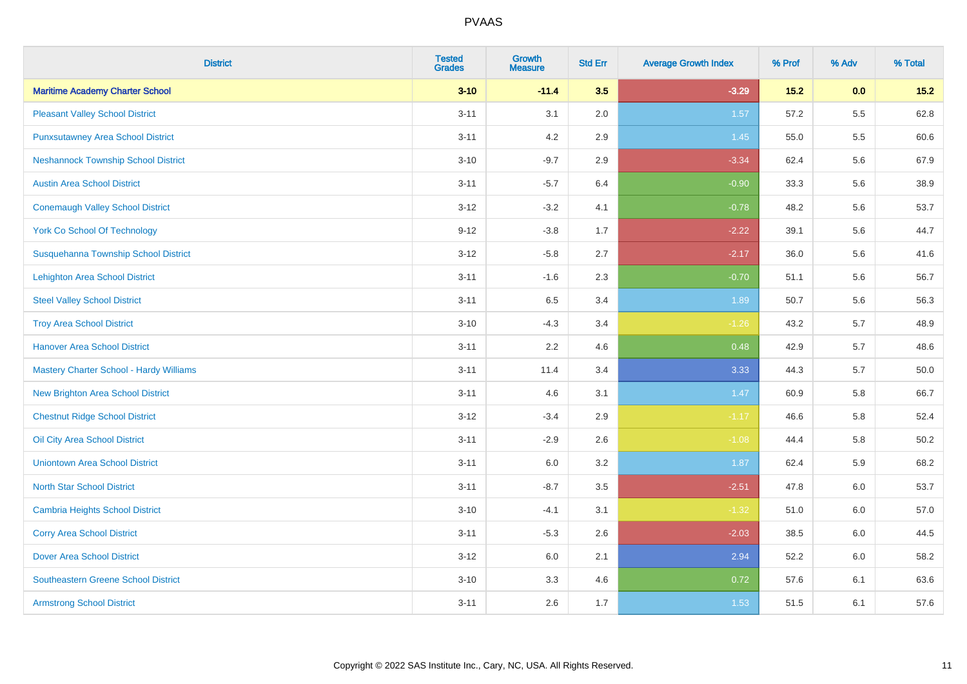| <b>District</b>                            | <b>Tested</b><br><b>Grades</b> | <b>Growth</b><br><b>Measure</b> | <b>Std Err</b> | <b>Average Growth Index</b> | % Prof | % Adv   | % Total |
|--------------------------------------------|--------------------------------|---------------------------------|----------------|-----------------------------|--------|---------|---------|
| <b>Maritime Academy Charter School</b>     | $3 - 10$                       | $-11.4$                         | 3.5            | $-3.29$                     | $15.2$ | 0.0     | $15.2$  |
| <b>Pleasant Valley School District</b>     | $3 - 11$                       | 3.1                             | 2.0            | 1.57                        | 57.2   | $5.5\,$ | 62.8    |
| <b>Punxsutawney Area School District</b>   | $3 - 11$                       | 4.2                             | 2.9            | 1.45                        | 55.0   | 5.5     | 60.6    |
| <b>Neshannock Township School District</b> | $3 - 10$                       | $-9.7$                          | 2.9            | $-3.34$                     | 62.4   | 5.6     | 67.9    |
| <b>Austin Area School District</b>         | $3 - 11$                       | $-5.7$                          | 6.4            | $-0.90$                     | 33.3   | 5.6     | 38.9    |
| <b>Conemaugh Valley School District</b>    | $3 - 12$                       | $-3.2$                          | 4.1            | $-0.78$                     | 48.2   | 5.6     | 53.7    |
| <b>York Co School Of Technology</b>        | $9 - 12$                       | $-3.8$                          | 1.7            | $-2.22$                     | 39.1   | 5.6     | 44.7    |
| Susquehanna Township School District       | $3 - 12$                       | $-5.8$                          | 2.7            | $-2.17$                     | 36.0   | 5.6     | 41.6    |
| <b>Lehighton Area School District</b>      | $3 - 11$                       | $-1.6$                          | 2.3            | $-0.70$                     | 51.1   | 5.6     | 56.7    |
| <b>Steel Valley School District</b>        | $3 - 11$                       | 6.5                             | 3.4            | 1.89                        | 50.7   | 5.6     | 56.3    |
| <b>Troy Area School District</b>           | $3 - 10$                       | $-4.3$                          | 3.4            | $-1.26$                     | 43.2   | 5.7     | 48.9    |
| <b>Hanover Area School District</b>        | $3 - 11$                       | 2.2                             | 4.6            | 0.48                        | 42.9   | 5.7     | 48.6    |
| Mastery Charter School - Hardy Williams    | $3 - 11$                       | 11.4                            | 3.4            | 3.33                        | 44.3   | 5.7     | 50.0    |
| New Brighton Area School District          | $3 - 11$                       | 4.6                             | 3.1            | 1.47                        | 60.9   | 5.8     | 66.7    |
| <b>Chestnut Ridge School District</b>      | $3 - 12$                       | $-3.4$                          | 2.9            | $-1.17$                     | 46.6   | 5.8     | 52.4    |
| Oil City Area School District              | $3 - 11$                       | $-2.9$                          | 2.6            | $-1.08$                     | 44.4   | 5.8     | 50.2    |
| <b>Uniontown Area School District</b>      | $3 - 11$                       | 6.0                             | 3.2            | 1.87                        | 62.4   | 5.9     | 68.2    |
| <b>North Star School District</b>          | $3 - 11$                       | $-8.7$                          | 3.5            | $-2.51$                     | 47.8   | 6.0     | 53.7    |
| <b>Cambria Heights School District</b>     | $3 - 10$                       | $-4.1$                          | 3.1            | $-1.32$                     | 51.0   | 6.0     | 57.0    |
| <b>Corry Area School District</b>          | $3 - 11$                       | $-5.3$                          | 2.6            | $-2.03$                     | 38.5   | 6.0     | 44.5    |
| <b>Dover Area School District</b>          | $3 - 12$                       | 6.0                             | 2.1            | 2.94                        | 52.2   | 6.0     | 58.2    |
| <b>Southeastern Greene School District</b> | $3 - 10$                       | 3.3                             | 4.6            | 0.72                        | 57.6   | 6.1     | 63.6    |
| <b>Armstrong School District</b>           | $3 - 11$                       | 2.6                             | 1.7            | 1.53                        | 51.5   | 6.1     | 57.6    |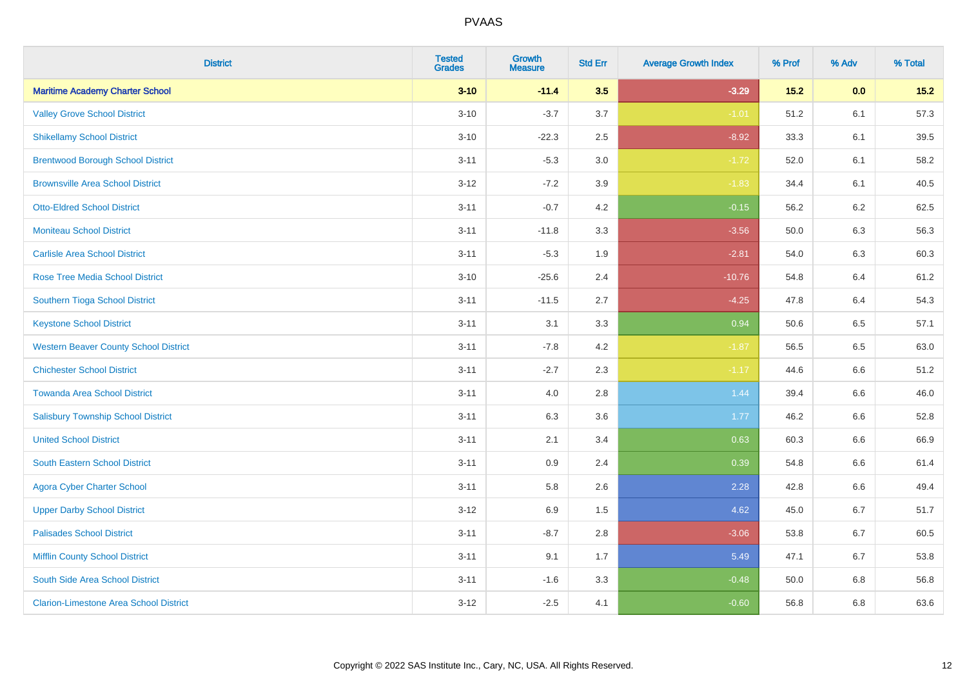| <b>District</b>                               | <b>Tested</b><br><b>Grades</b> | <b>Growth</b><br><b>Measure</b> | <b>Std Err</b> | <b>Average Growth Index</b> | % Prof | % Adv   | % Total |
|-----------------------------------------------|--------------------------------|---------------------------------|----------------|-----------------------------|--------|---------|---------|
| <b>Maritime Academy Charter School</b>        | $3 - 10$                       | $-11.4$                         | 3.5            | $-3.29$                     | $15.2$ | 0.0     | $15.2$  |
| <b>Valley Grove School District</b>           | $3 - 10$                       | $-3.7$                          | 3.7            | $-1.01$                     | 51.2   | 6.1     | 57.3    |
| <b>Shikellamy School District</b>             | $3 - 10$                       | $-22.3$                         | 2.5            | $-8.92$                     | 33.3   | 6.1     | 39.5    |
| <b>Brentwood Borough School District</b>      | $3 - 11$                       | $-5.3$                          | 3.0            | $-1.72$                     | 52.0   | 6.1     | 58.2    |
| <b>Brownsville Area School District</b>       | $3 - 12$                       | $-7.2$                          | 3.9            | $-1.83$                     | 34.4   | 6.1     | 40.5    |
| <b>Otto-Eldred School District</b>            | $3 - 11$                       | $-0.7$                          | 4.2            | $-0.15$                     | 56.2   | 6.2     | 62.5    |
| <b>Moniteau School District</b>               | $3 - 11$                       | $-11.8$                         | 3.3            | $-3.56$                     | 50.0   | 6.3     | 56.3    |
| <b>Carlisle Area School District</b>          | $3 - 11$                       | $-5.3$                          | 1.9            | $-2.81$                     | 54.0   | 6.3     | 60.3    |
| <b>Rose Tree Media School District</b>        | $3 - 10$                       | $-25.6$                         | 2.4            | $-10.76$                    | 54.8   | 6.4     | 61.2    |
| Southern Tioga School District                | $3 - 11$                       | $-11.5$                         | 2.7            | $-4.25$                     | 47.8   | 6.4     | 54.3    |
| <b>Keystone School District</b>               | $3 - 11$                       | 3.1                             | 3.3            | 0.94                        | 50.6   | 6.5     | 57.1    |
| <b>Western Beaver County School District</b>  | $3 - 11$                       | $-7.8$                          | 4.2            | $-1.87$                     | 56.5   | 6.5     | 63.0    |
| <b>Chichester School District</b>             | $3 - 11$                       | $-2.7$                          | 2.3            | $-1.17$                     | 44.6   | $6.6\,$ | 51.2    |
| <b>Towanda Area School District</b>           | $3 - 11$                       | 4.0                             | 2.8            | 1.44                        | 39.4   | 6.6     | 46.0    |
| <b>Salisbury Township School District</b>     | $3 - 11$                       | 6.3                             | 3.6            | 1.77                        | 46.2   | 6.6     | 52.8    |
| <b>United School District</b>                 | $3 - 11$                       | 2.1                             | 3.4            | 0.63                        | 60.3   | $6.6\,$ | 66.9    |
| <b>South Eastern School District</b>          | $3 - 11$                       | 0.9                             | 2.4            | 0.39                        | 54.8   | 6.6     | 61.4    |
| <b>Agora Cyber Charter School</b>             | $3 - 11$                       | 5.8                             | 2.6            | 2.28                        | 42.8   | 6.6     | 49.4    |
| <b>Upper Darby School District</b>            | $3 - 12$                       | 6.9                             | 1.5            | 4.62                        | 45.0   | 6.7     | 51.7    |
| <b>Palisades School District</b>              | $3 - 11$                       | $-8.7$                          | 2.8            | $-3.06$                     | 53.8   | 6.7     | 60.5    |
| <b>Mifflin County School District</b>         | $3 - 11$                       | 9.1                             | 1.7            | 5.49                        | 47.1   | 6.7     | 53.8    |
| South Side Area School District               | $3 - 11$                       | $-1.6$                          | 3.3            | $-0.48$                     | 50.0   | 6.8     | 56.8    |
| <b>Clarion-Limestone Area School District</b> | $3 - 12$                       | $-2.5$                          | 4.1            | $-0.60$                     | 56.8   | 6.8     | 63.6    |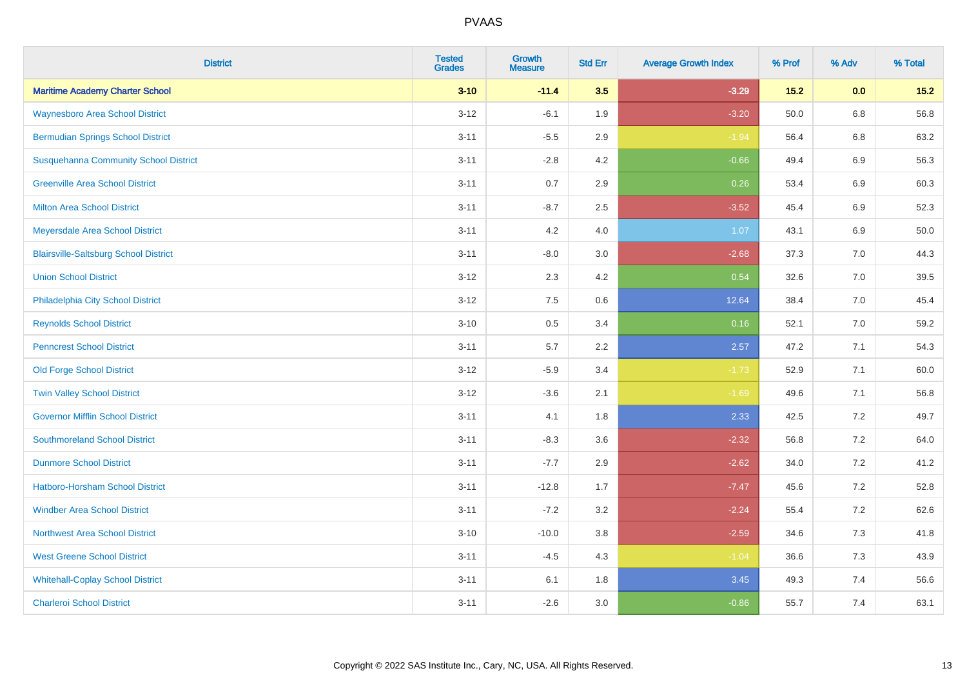| <b>District</b>                              | <b>Tested</b><br><b>Grades</b> | <b>Growth</b><br><b>Measure</b> | <b>Std Err</b> | <b>Average Growth Index</b> | % Prof | % Adv   | % Total |
|----------------------------------------------|--------------------------------|---------------------------------|----------------|-----------------------------|--------|---------|---------|
| <b>Maritime Academy Charter School</b>       | $3 - 10$                       | $-11.4$                         | 3.5            | $-3.29$                     | $15.2$ | 0.0     | $15.2$  |
| <b>Waynesboro Area School District</b>       | $3 - 12$                       | $-6.1$                          | 1.9            | $-3.20$                     | 50.0   | $6.8\,$ | 56.8    |
| <b>Bermudian Springs School District</b>     | $3 - 11$                       | $-5.5$                          | 2.9            | $-1.94$                     | 56.4   | 6.8     | 63.2    |
| <b>Susquehanna Community School District</b> | $3 - 11$                       | $-2.8$                          | 4.2            | $-0.66$                     | 49.4   | $6.9\,$ | 56.3    |
| <b>Greenville Area School District</b>       | $3 - 11$                       | 0.7                             | 2.9            | 0.26                        | 53.4   | 6.9     | 60.3    |
| <b>Milton Area School District</b>           | $3 - 11$                       | $-8.7$                          | 2.5            | $-3.52$                     | 45.4   | $6.9\,$ | 52.3    |
| Meyersdale Area School District              | $3 - 11$                       | 4.2                             | 4.0            | 1.07                        | 43.1   | 6.9     | 50.0    |
| <b>Blairsville-Saltsburg School District</b> | $3 - 11$                       | $-8.0$                          | 3.0            | $-2.68$                     | 37.3   | 7.0     | 44.3    |
| <b>Union School District</b>                 | $3 - 12$                       | 2.3                             | 4.2            | 0.54                        | 32.6   | 7.0     | 39.5    |
| Philadelphia City School District            | $3 - 12$                       | 7.5                             | 0.6            | 12.64                       | 38.4   | 7.0     | 45.4    |
| <b>Reynolds School District</b>              | $3 - 10$                       | 0.5                             | 3.4            | 0.16                        | 52.1   | 7.0     | 59.2    |
| <b>Penncrest School District</b>             | $3 - 11$                       | 5.7                             | 2.2            | 2.57                        | 47.2   | 7.1     | 54.3    |
| <b>Old Forge School District</b>             | $3 - 12$                       | $-5.9$                          | 3.4            | $-1.73$                     | 52.9   | 7.1     | 60.0    |
| <b>Twin Valley School District</b>           | $3 - 12$                       | $-3.6$                          | 2.1            | $-1.69$                     | 49.6   | 7.1     | 56.8    |
| <b>Governor Mifflin School District</b>      | $3 - 11$                       | 4.1                             | 1.8            | 2.33                        | 42.5   | 7.2     | 49.7    |
| <b>Southmoreland School District</b>         | $3 - 11$                       | $-8.3$                          | 3.6            | $-2.32$                     | 56.8   | 7.2     | 64.0    |
| <b>Dunmore School District</b>               | $3 - 11$                       | $-7.7$                          | 2.9            | $-2.62$                     | 34.0   | 7.2     | 41.2    |
| <b>Hatboro-Horsham School District</b>       | $3 - 11$                       | $-12.8$                         | 1.7            | $-7.47$                     | 45.6   | 7.2     | 52.8    |
| <b>Windber Area School District</b>          | $3 - 11$                       | $-7.2$                          | 3.2            | $-2.24$                     | 55.4   | 7.2     | 62.6    |
| <b>Northwest Area School District</b>        | $3 - 10$                       | $-10.0$                         | 3.8            | $-2.59$                     | 34.6   | 7.3     | 41.8    |
| <b>West Greene School District</b>           | $3 - 11$                       | $-4.5$                          | 4.3            | $-1.04$                     | 36.6   | 7.3     | 43.9    |
| <b>Whitehall-Coplay School District</b>      | $3 - 11$                       | 6.1                             | 1.8            | 3.45                        | 49.3   | 7.4     | 56.6    |
| <b>Charleroi School District</b>             | $3 - 11$                       | $-2.6$                          | 3.0            | $-0.86$                     | 55.7   | 7.4     | 63.1    |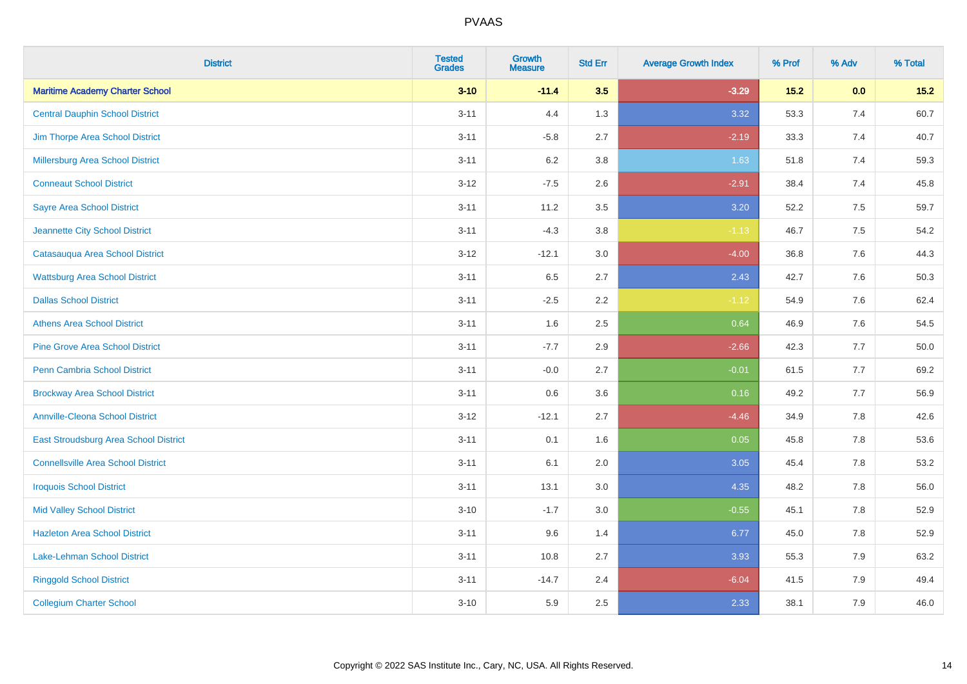| <b>District</b>                           | <b>Tested</b><br><b>Grades</b> | <b>Growth</b><br><b>Measure</b> | <b>Std Err</b> | <b>Average Growth Index</b> | % Prof | % Adv   | % Total |
|-------------------------------------------|--------------------------------|---------------------------------|----------------|-----------------------------|--------|---------|---------|
| <b>Maritime Academy Charter School</b>    | $3 - 10$                       | $-11.4$                         | 3.5            | $-3.29$                     | $15.2$ | 0.0     | $15.2$  |
| <b>Central Dauphin School District</b>    | $3 - 11$                       | 4.4                             | 1.3            | 3.32                        | 53.3   | 7.4     | 60.7    |
| Jim Thorpe Area School District           | $3 - 11$                       | $-5.8$                          | 2.7            | $-2.19$                     | 33.3   | 7.4     | 40.7    |
| <b>Millersburg Area School District</b>   | $3 - 11$                       | $6.2\,$                         | 3.8            | 1.63                        | 51.8   | 7.4     | 59.3    |
| <b>Conneaut School District</b>           | $3 - 12$                       | $-7.5$                          | 2.6            | $-2.91$                     | 38.4   | 7.4     | 45.8    |
| <b>Sayre Area School District</b>         | $3 - 11$                       | 11.2                            | 3.5            | 3.20                        | 52.2   | 7.5     | 59.7    |
| Jeannette City School District            | $3 - 11$                       | $-4.3$                          | 3.8            | $-1.13$                     | 46.7   | 7.5     | 54.2    |
| Catasauqua Area School District           | $3 - 12$                       | $-12.1$                         | 3.0            | $-4.00$                     | 36.8   | 7.6     | 44.3    |
| <b>Wattsburg Area School District</b>     | $3 - 11$                       | 6.5                             | 2.7            | 2.43                        | 42.7   | 7.6     | 50.3    |
| <b>Dallas School District</b>             | $3 - 11$                       | $-2.5$                          | 2.2            | $-1.12$                     | 54.9   | 7.6     | 62.4    |
| <b>Athens Area School District</b>        | $3 - 11$                       | 1.6                             | 2.5            | 0.64                        | 46.9   | 7.6     | 54.5    |
| <b>Pine Grove Area School District</b>    | $3 - 11$                       | $-7.7$                          | 2.9            | $-2.66$                     | 42.3   | 7.7     | 50.0    |
| Penn Cambria School District              | $3 - 11$                       | $-0.0$                          | 2.7            | $-0.01$                     | 61.5   | 7.7     | 69.2    |
| <b>Brockway Area School District</b>      | $3 - 11$                       | 0.6                             | 3.6            | 0.16                        | 49.2   | 7.7     | 56.9    |
| <b>Annville-Cleona School District</b>    | $3 - 12$                       | $-12.1$                         | 2.7            | $-4.46$                     | 34.9   | 7.8     | 42.6    |
| East Stroudsburg Area School District     | $3 - 11$                       | 0.1                             | 1.6            | 0.05                        | 45.8   | $7.8\,$ | 53.6    |
| <b>Connellsville Area School District</b> | $3 - 11$                       | 6.1                             | 2.0            | 3.05                        | 45.4   | 7.8     | 53.2    |
| <b>Iroquois School District</b>           | $3 - 11$                       | 13.1                            | 3.0            | 4.35                        | 48.2   | 7.8     | 56.0    |
| <b>Mid Valley School District</b>         | $3 - 10$                       | $-1.7$                          | 3.0            | $-0.55$                     | 45.1   | 7.8     | 52.9    |
| <b>Hazleton Area School District</b>      | $3 - 11$                       | 9.6                             | 1.4            | 6.77                        | 45.0   | 7.8     | 52.9    |
| Lake-Lehman School District               | $3 - 11$                       | 10.8                            | 2.7            | 3.93                        | 55.3   | 7.9     | 63.2    |
| <b>Ringgold School District</b>           | $3 - 11$                       | $-14.7$                         | 2.4            | $-6.04$                     | 41.5   | 7.9     | 49.4    |
| <b>Collegium Charter School</b>           | $3 - 10$                       | 5.9                             | 2.5            | 2.33                        | 38.1   | 7.9     | 46.0    |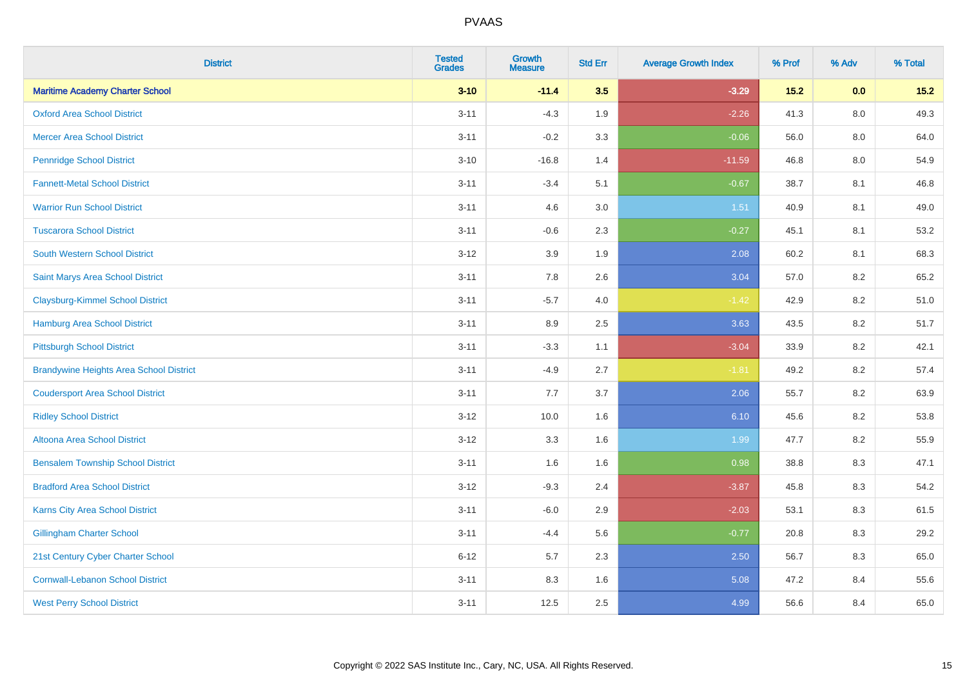| <b>District</b>                                | <b>Tested</b><br><b>Grades</b> | <b>Growth</b><br><b>Measure</b> | <b>Std Err</b> | <b>Average Growth Index</b> | % Prof | % Adv   | % Total |
|------------------------------------------------|--------------------------------|---------------------------------|----------------|-----------------------------|--------|---------|---------|
| <b>Maritime Academy Charter School</b>         | $3 - 10$                       | $-11.4$                         | 3.5            | $-3.29$                     | $15.2$ | 0.0     | $15.2$  |
| <b>Oxford Area School District</b>             | $3 - 11$                       | $-4.3$                          | 1.9            | $-2.26$                     | 41.3   | $8.0\,$ | 49.3    |
| <b>Mercer Area School District</b>             | $3 - 11$                       | $-0.2$                          | 3.3            | $-0.06$                     | 56.0   | 8.0     | 64.0    |
| <b>Pennridge School District</b>               | $3 - 10$                       | $-16.8$                         | 1.4            | $-11.59$                    | 46.8   | $8.0\,$ | 54.9    |
| <b>Fannett-Metal School District</b>           | $3 - 11$                       | $-3.4$                          | 5.1            | $-0.67$                     | 38.7   | 8.1     | 46.8    |
| <b>Warrior Run School District</b>             | $3 - 11$                       | 4.6                             | 3.0            | 1.51                        | 40.9   | 8.1     | 49.0    |
| <b>Tuscarora School District</b>               | $3 - 11$                       | $-0.6$                          | 2.3            | $-0.27$                     | 45.1   | 8.1     | 53.2    |
| <b>South Western School District</b>           | $3 - 12$                       | 3.9                             | 1.9            | 2.08                        | 60.2   | 8.1     | 68.3    |
| Saint Marys Area School District               | $3 - 11$                       | 7.8                             | 2.6            | 3.04                        | 57.0   | 8.2     | 65.2    |
| <b>Claysburg-Kimmel School District</b>        | $3 - 11$                       | $-5.7$                          | 4.0            | $-1.42$                     | 42.9   | 8.2     | 51.0    |
| Hamburg Area School District                   | $3 - 11$                       | 8.9                             | 2.5            | 3.63                        | 43.5   | 8.2     | 51.7    |
| <b>Pittsburgh School District</b>              | $3 - 11$                       | $-3.3$                          | 1.1            | $-3.04$                     | 33.9   | 8.2     | 42.1    |
| <b>Brandywine Heights Area School District</b> | $3 - 11$                       | $-4.9$                          | 2.7            | $-1.81$                     | 49.2   | $8.2\,$ | 57.4    |
| <b>Coudersport Area School District</b>        | $3 - 11$                       | 7.7                             | 3.7            | 2.06                        | 55.7   | 8.2     | 63.9    |
| <b>Ridley School District</b>                  | $3 - 12$                       | 10.0                            | 1.6            | 6.10                        | 45.6   | $8.2\,$ | 53.8    |
| <b>Altoona Area School District</b>            | $3 - 12$                       | 3.3                             | 1.6            | 1.99                        | 47.7   | 8.2     | 55.9    |
| <b>Bensalem Township School District</b>       | $3 - 11$                       | 1.6                             | 1.6            | 0.98                        | 38.8   | 8.3     | 47.1    |
| <b>Bradford Area School District</b>           | $3 - 12$                       | $-9.3$                          | 2.4            | $-3.87$                     | 45.8   | 8.3     | 54.2    |
| <b>Karns City Area School District</b>         | $3 - 11$                       | $-6.0$                          | 2.9            | $-2.03$                     | 53.1   | 8.3     | 61.5    |
| <b>Gillingham Charter School</b>               | $3 - 11$                       | $-4.4$                          | 5.6            | $-0.77$                     | 20.8   | 8.3     | 29.2    |
| 21st Century Cyber Charter School              | $6 - 12$                       | 5.7                             | 2.3            | 2.50                        | 56.7   | 8.3     | 65.0    |
| <b>Cornwall-Lebanon School District</b>        | $3 - 11$                       | 8.3                             | 1.6            | 5.08                        | 47.2   | 8.4     | 55.6    |
| <b>West Perry School District</b>              | $3 - 11$                       | 12.5                            | 2.5            | 4.99                        | 56.6   | 8.4     | 65.0    |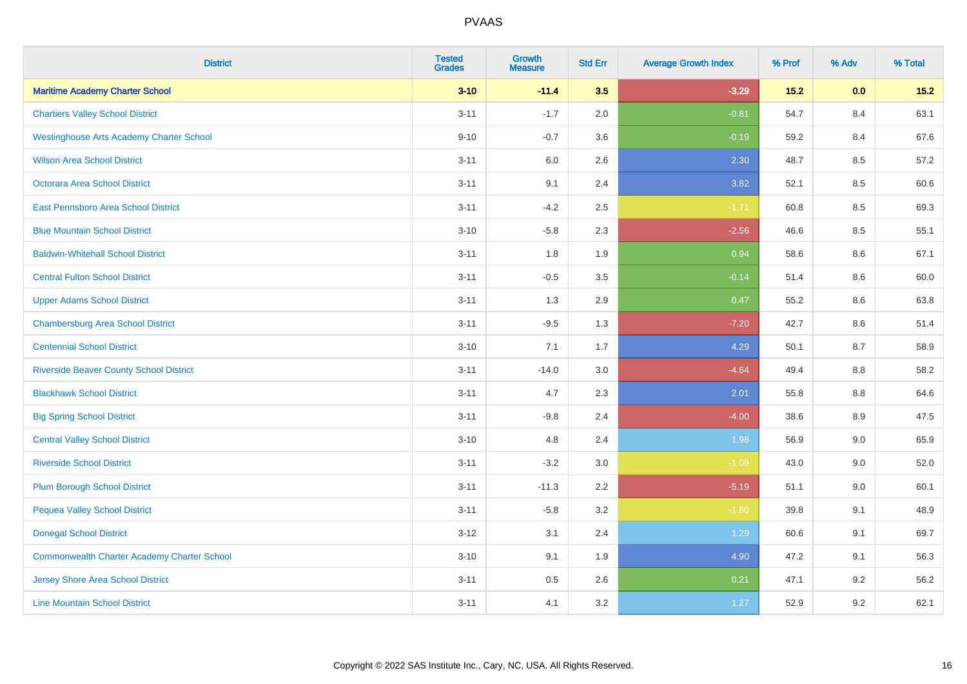| <b>District</b>                                    | <b>Tested</b><br><b>Grades</b> | <b>Growth</b><br><b>Measure</b> | <b>Std Err</b> | <b>Average Growth Index</b> | % Prof | % Adv | % Total |
|----------------------------------------------------|--------------------------------|---------------------------------|----------------|-----------------------------|--------|-------|---------|
| <b>Maritime Academy Charter School</b>             | $3 - 10$                       | $-11.4$                         | 3.5            | $-3.29$                     | 15.2   | 0.0   | $15.2$  |
| <b>Chartiers Valley School District</b>            | $3 - 11$                       | $-1.7$                          | 2.0            | $-0.81$                     | 54.7   | 8.4   | 63.1    |
| <b>Westinghouse Arts Academy Charter School</b>    | $9 - 10$                       | $-0.7$                          | 3.6            | $-0.19$                     | 59.2   | 8.4   | 67.6    |
| <b>Wilson Area School District</b>                 | $3 - 11$                       | $6.0\,$                         | 2.6            | 2.30                        | 48.7   | 8.5   | 57.2    |
| Octorara Area School District                      | $3 - 11$                       | 9.1                             | 2.4            | 3.82                        | 52.1   | 8.5   | 60.6    |
| East Pennsboro Area School District                | $3 - 11$                       | $-4.2$                          | 2.5            | $-1.71$                     | 60.8   | 8.5   | 69.3    |
| <b>Blue Mountain School District</b>               | $3 - 10$                       | $-5.8$                          | 2.3            | $-2.56$                     | 46.6   | 8.5   | 55.1    |
| <b>Baldwin-Whitehall School District</b>           | $3 - 11$                       | 1.8                             | 1.9            | 0.94                        | 58.6   | 8.6   | 67.1    |
| <b>Central Fulton School District</b>              | $3 - 11$                       | $-0.5$                          | 3.5            | $-0.14$                     | 51.4   | 8.6   | 60.0    |
| <b>Upper Adams School District</b>                 | $3 - 11$                       | 1.3                             | 2.9            | 0.47                        | 55.2   | 8.6   | 63.8    |
| <b>Chambersburg Area School District</b>           | $3 - 11$                       | $-9.5$                          | 1.3            | $-7.20$                     | 42.7   | 8.6   | 51.4    |
| <b>Centennial School District</b>                  | $3 - 10$                       | 7.1                             | 1.7            | 4.29                        | 50.1   | 8.7   | 58.9    |
| <b>Riverside Beaver County School District</b>     | $3 - 11$                       | $-14.0$                         | 3.0            | $-4.64$                     | 49.4   | 8.8   | 58.2    |
| <b>Blackhawk School District</b>                   | $3 - 11$                       | 4.7                             | 2.3            | 2.01                        | 55.8   | 8.8   | 64.6    |
| <b>Big Spring School District</b>                  | $3 - 11$                       | $-9.8$                          | 2.4            | $-4.00$                     | 38.6   | 8.9   | 47.5    |
| <b>Central Valley School District</b>              | $3 - 10$                       | 4.8                             | 2.4            | 1.98                        | 56.9   | 9.0   | 65.9    |
| <b>Riverside School District</b>                   | $3 - 11$                       | $-3.2$                          | 3.0            | $-1.09$                     | 43.0   | 9.0   | 52.0    |
| <b>Plum Borough School District</b>                | $3 - 11$                       | $-11.3$                         | 2.2            | $-5.19$                     | 51.1   | 9.0   | 60.1    |
| <b>Pequea Valley School District</b>               | $3 - 11$                       | $-5.8$                          | 3.2            | $-1.80$                     | 39.8   | 9.1   | 48.9    |
| <b>Donegal School District</b>                     | $3 - 12$                       | 3.1                             | 2.4            | 1.29                        | 60.6   | 9.1   | 69.7    |
| <b>Commonwealth Charter Academy Charter School</b> | $3 - 10$                       | 9.1                             | 1.9            | 4.90                        | 47.2   | 9.1   | 56.3    |
| <b>Jersey Shore Area School District</b>           | $3 - 11$                       | $0.5\,$                         | 2.6            | 0.21                        | 47.1   | 9.2   | 56.2    |
| <b>Line Mountain School District</b>               | $3 - 11$                       | 4.1                             | 3.2            | 1.27                        | 52.9   | 9.2   | 62.1    |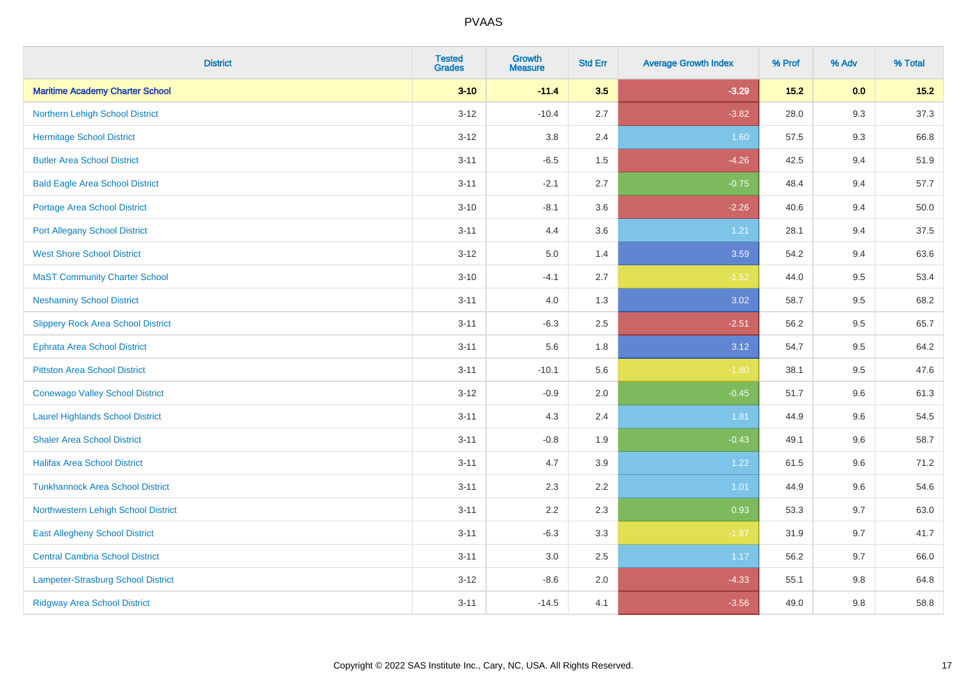| <b>District</b>                           | <b>Tested</b><br><b>Grades</b> | <b>Growth</b><br><b>Measure</b> | <b>Std Err</b> | <b>Average Growth Index</b> | % Prof | % Adv | % Total |
|-------------------------------------------|--------------------------------|---------------------------------|----------------|-----------------------------|--------|-------|---------|
| <b>Maritime Academy Charter School</b>    | $3 - 10$                       | $-11.4$                         | 3.5            | $-3.29$                     | $15.2$ | 0.0   | $15.2$  |
| Northern Lehigh School District           | $3 - 12$                       | $-10.4$                         | 2.7            | $-3.82$                     | 28.0   | 9.3   | 37.3    |
| <b>Hermitage School District</b>          | $3 - 12$                       | 3.8                             | 2.4            | 1.60                        | 57.5   | 9.3   | 66.8    |
| <b>Butler Area School District</b>        | $3 - 11$                       | $-6.5$                          | 1.5            | $-4.26$                     | 42.5   | 9.4   | 51.9    |
| <b>Bald Eagle Area School District</b>    | $3 - 11$                       | $-2.1$                          | 2.7            | $-0.75$                     | 48.4   | 9.4   | 57.7    |
| <b>Portage Area School District</b>       | $3 - 10$                       | $-8.1$                          | 3.6            | $-2.26$                     | 40.6   | 9.4   | 50.0    |
| <b>Port Allegany School District</b>      | $3 - 11$                       | 4.4                             | 3.6            | 1.21                        | 28.1   | 9.4   | 37.5    |
| <b>West Shore School District</b>         | $3 - 12$                       | 5.0                             | 1.4            | 3.59                        | 54.2   | 9.4   | 63.6    |
| <b>MaST Community Charter School</b>      | $3 - 10$                       | $-4.1$                          | 2.7            | $-1.52$                     | 44.0   | 9.5   | 53.4    |
| <b>Neshaminy School District</b>          | $3 - 11$                       | 4.0                             | 1.3            | 3.02                        | 58.7   | 9.5   | 68.2    |
| <b>Slippery Rock Area School District</b> | $3 - 11$                       | $-6.3$                          | 2.5            | $-2.51$                     | 56.2   | 9.5   | 65.7    |
| Ephrata Area School District              | $3 - 11$                       | 5.6                             | 1.8            | 3.12                        | 54.7   | 9.5   | 64.2    |
| <b>Pittston Area School District</b>      | $3 - 11$                       | $-10.1$                         | 5.6            | $-1.80$                     | 38.1   | 9.5   | 47.6    |
| <b>Conewago Valley School District</b>    | $3 - 12$                       | $-0.9$                          | 2.0            | $-0.45$                     | 51.7   | 9.6   | 61.3    |
| <b>Laurel Highlands School District</b>   | $3 - 11$                       | 4.3                             | 2.4            | 1.81                        | 44.9   | 9.6   | 54.5    |
| <b>Shaler Area School District</b>        | $3 - 11$                       | $-0.8$                          | 1.9            | $-0.43$                     | 49.1   | 9.6   | 58.7    |
| <b>Halifax Area School District</b>       | $3 - 11$                       | 4.7                             | 3.9            | 1.22                        | 61.5   | 9.6   | 71.2    |
| <b>Tunkhannock Area School District</b>   | $3 - 11$                       | 2.3                             | 2.2            | 1.01                        | 44.9   | 9.6   | 54.6    |
| Northwestern Lehigh School District       | $3 - 11$                       | 2.2                             | 2.3            | 0.93                        | 53.3   | 9.7   | 63.0    |
| <b>East Allegheny School District</b>     | $3 - 11$                       | $-6.3$                          | 3.3            | $-1.87$                     | 31.9   | 9.7   | 41.7    |
| <b>Central Cambria School District</b>    | $3 - 11$                       | 3.0                             | 2.5            | 1.17                        | 56.2   | 9.7   | 66.0    |
| Lampeter-Strasburg School District        | $3 - 12$                       | $-8.6$                          | 2.0            | $-4.33$                     | 55.1   | 9.8   | 64.8    |
| <b>Ridgway Area School District</b>       | $3 - 11$                       | $-14.5$                         | 4.1            | $-3.56$                     | 49.0   | 9.8   | 58.8    |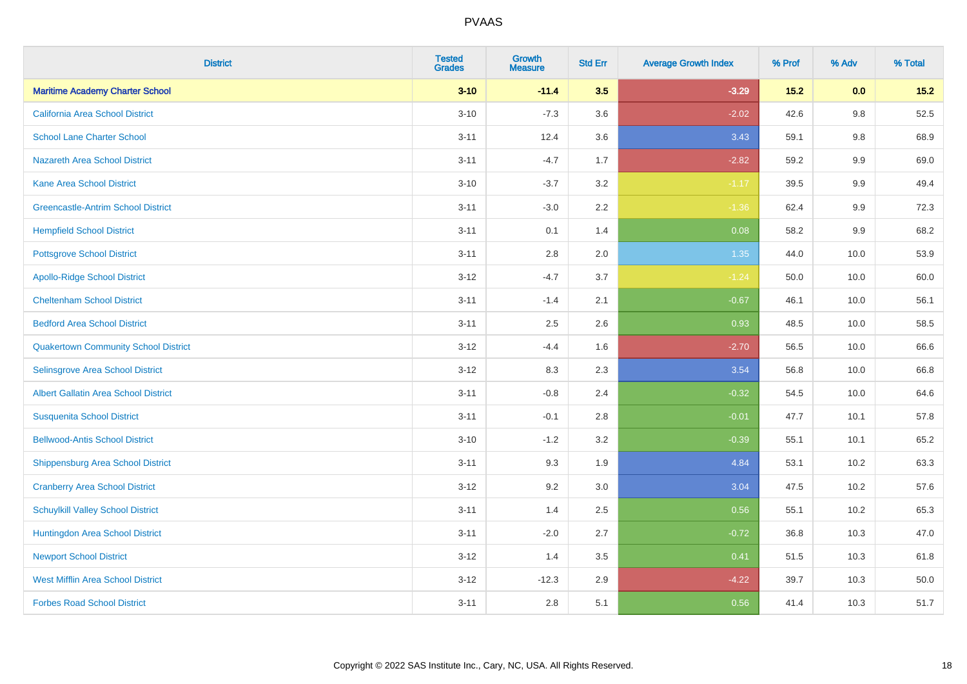| <b>District</b>                             | <b>Tested</b><br><b>Grades</b> | <b>Growth</b><br><b>Measure</b> | <b>Std Err</b> | <b>Average Growth Index</b> | % Prof | % Adv   | % Total |
|---------------------------------------------|--------------------------------|---------------------------------|----------------|-----------------------------|--------|---------|---------|
| <b>Maritime Academy Charter School</b>      | $3 - 10$                       | $-11.4$                         | 3.5            | $-3.29$                     | $15.2$ | 0.0     | $15.2$  |
| <b>California Area School District</b>      | $3 - 10$                       | $-7.3$                          | 3.6            | $-2.02$                     | 42.6   | 9.8     | 52.5    |
| <b>School Lane Charter School</b>           | $3 - 11$                       | 12.4                            | 3.6            | 3.43                        | 59.1   | 9.8     | 68.9    |
| <b>Nazareth Area School District</b>        | $3 - 11$                       | $-4.7$                          | 1.7            | $-2.82$                     | 59.2   | $9.9\,$ | 69.0    |
| <b>Kane Area School District</b>            | $3 - 10$                       | $-3.7$                          | 3.2            | $-1.17$                     | 39.5   | 9.9     | 49.4    |
| <b>Greencastle-Antrim School District</b>   | $3 - 11$                       | $-3.0$                          | 2.2            | $-1.36$                     | 62.4   | $9.9\,$ | 72.3    |
| <b>Hempfield School District</b>            | $3 - 11$                       | 0.1                             | 1.4            | 0.08                        | 58.2   | 9.9     | 68.2    |
| <b>Pottsgrove School District</b>           | $3 - 11$                       | 2.8                             | 2.0            | 1.35                        | 44.0   | 10.0    | 53.9    |
| <b>Apollo-Ridge School District</b>         | $3 - 12$                       | $-4.7$                          | 3.7            | $-1.24$                     | 50.0   | 10.0    | 60.0    |
| <b>Cheltenham School District</b>           | $3 - 11$                       | $-1.4$                          | 2.1            | $-0.67$                     | 46.1   | 10.0    | 56.1    |
| <b>Bedford Area School District</b>         | $3 - 11$                       | 2.5                             | 2.6            | 0.93                        | 48.5   | 10.0    | 58.5    |
| <b>Quakertown Community School District</b> | $3 - 12$                       | $-4.4$                          | 1.6            | $-2.70$                     | 56.5   | 10.0    | 66.6    |
| Selinsgrove Area School District            | $3 - 12$                       | 8.3                             | 2.3            | 3.54                        | 56.8   | 10.0    | 66.8    |
| <b>Albert Gallatin Area School District</b> | $3 - 11$                       | $-0.8$                          | 2.4            | $-0.32$                     | 54.5   | 10.0    | 64.6    |
| <b>Susquenita School District</b>           | $3 - 11$                       | $-0.1$                          | 2.8            | $-0.01$                     | 47.7   | 10.1    | 57.8    |
| <b>Bellwood-Antis School District</b>       | $3 - 10$                       | $-1.2$                          | 3.2            | $-0.39$                     | 55.1   | 10.1    | 65.2    |
| <b>Shippensburg Area School District</b>    | $3 - 11$                       | 9.3                             | 1.9            | 4.84                        | 53.1   | 10.2    | 63.3    |
| <b>Cranberry Area School District</b>       | $3 - 12$                       | 9.2                             | 3.0            | 3.04                        | 47.5   | 10.2    | 57.6    |
| <b>Schuylkill Valley School District</b>    | $3 - 11$                       | 1.4                             | 2.5            | 0.56                        | 55.1   | 10.2    | 65.3    |
| Huntingdon Area School District             | $3 - 11$                       | $-2.0$                          | 2.7            | $-0.72$                     | 36.8   | 10.3    | 47.0    |
| <b>Newport School District</b>              | $3 - 12$                       | 1.4                             | 3.5            | 0.41                        | 51.5   | 10.3    | 61.8    |
| <b>West Mifflin Area School District</b>    | $3 - 12$                       | $-12.3$                         | 2.9            | $-4.22$                     | 39.7   | 10.3    | 50.0    |
| <b>Forbes Road School District</b>          | $3 - 11$                       | 2.8                             | 5.1            | 0.56                        | 41.4   | 10.3    | 51.7    |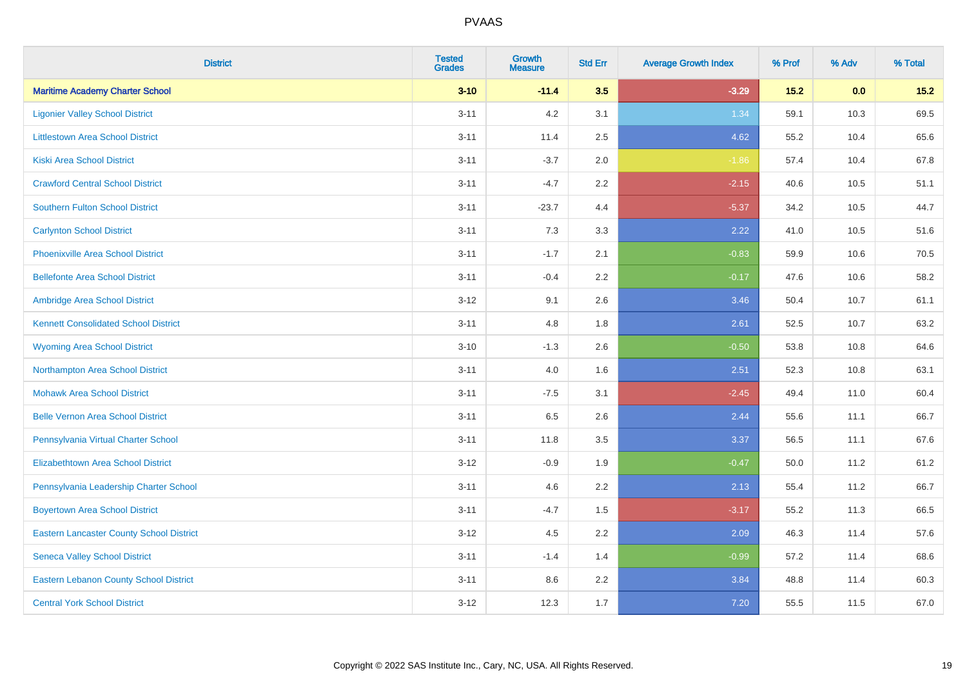| <b>District</b>                                 | <b>Tested</b><br><b>Grades</b> | <b>Growth</b><br><b>Measure</b> | <b>Std Err</b> | <b>Average Growth Index</b> | % Prof | % Adv | % Total |
|-------------------------------------------------|--------------------------------|---------------------------------|----------------|-----------------------------|--------|-------|---------|
| <b>Maritime Academy Charter School</b>          | $3 - 10$                       | $-11.4$                         | 3.5            | $-3.29$                     | 15.2   | 0.0   | 15.2    |
| <b>Ligonier Valley School District</b>          | $3 - 11$                       | 4.2                             | 3.1            | 1.34                        | 59.1   | 10.3  | 69.5    |
| <b>Littlestown Area School District</b>         | $3 - 11$                       | 11.4                            | 2.5            | 4.62                        | 55.2   | 10.4  | 65.6    |
| <b>Kiski Area School District</b>               | $3 - 11$                       | $-3.7$                          | 2.0            | $-1.86$                     | 57.4   | 10.4  | 67.8    |
| <b>Crawford Central School District</b>         | $3 - 11$                       | $-4.7$                          | 2.2            | $-2.15$                     | 40.6   | 10.5  | 51.1    |
| <b>Southern Fulton School District</b>          | $3 - 11$                       | $-23.7$                         | 4.4            | $-5.37$                     | 34.2   | 10.5  | 44.7    |
| <b>Carlynton School District</b>                | $3 - 11$                       | 7.3                             | 3.3            | 2.22                        | 41.0   | 10.5  | 51.6    |
| <b>Phoenixville Area School District</b>        | $3 - 11$                       | $-1.7$                          | 2.1            | $-0.83$                     | 59.9   | 10.6  | 70.5    |
| <b>Bellefonte Area School District</b>          | $3 - 11$                       | $-0.4$                          | 2.2            | $-0.17$                     | 47.6   | 10.6  | 58.2    |
| Ambridge Area School District                   | $3 - 12$                       | 9.1                             | 2.6            | 3.46                        | 50.4   | 10.7  | 61.1    |
| <b>Kennett Consolidated School District</b>     | $3 - 11$                       | 4.8                             | 1.8            | 2.61                        | 52.5   | 10.7  | 63.2    |
| <b>Wyoming Area School District</b>             | $3 - 10$                       | $-1.3$                          | 2.6            | $-0.50$                     | 53.8   | 10.8  | 64.6    |
| Northampton Area School District                | $3 - 11$                       | 4.0                             | 1.6            | 2.51                        | 52.3   | 10.8  | 63.1    |
| <b>Mohawk Area School District</b>              | $3 - 11$                       | $-7.5$                          | 3.1            | $-2.45$                     | 49.4   | 11.0  | 60.4    |
| <b>Belle Vernon Area School District</b>        | $3 - 11$                       | 6.5                             | 2.6            | 2.44                        | 55.6   | 11.1  | 66.7    |
| Pennsylvania Virtual Charter School             | $3 - 11$                       | 11.8                            | 3.5            | 3.37                        | 56.5   | 11.1  | 67.6    |
| <b>Elizabethtown Area School District</b>       | $3 - 12$                       | $-0.9$                          | 1.9            | $-0.47$                     | 50.0   | 11.2  | 61.2    |
| Pennsylvania Leadership Charter School          | $3 - 11$                       | 4.6                             | 2.2            | 2.13                        | 55.4   | 11.2  | 66.7    |
| <b>Boyertown Area School District</b>           | $3 - 11$                       | $-4.7$                          | 1.5            | $-3.17$                     | 55.2   | 11.3  | 66.5    |
| <b>Eastern Lancaster County School District</b> | $3-12$                         | 4.5                             | 2.2            | 2.09                        | 46.3   | 11.4  | 57.6    |
| <b>Seneca Valley School District</b>            | $3 - 11$                       | $-1.4$                          | 1.4            | $-0.99$                     | 57.2   | 11.4  | 68.6    |
| <b>Eastern Lebanon County School District</b>   | $3 - 11$                       | 8.6                             | 2.2            | 3.84                        | 48.8   | 11.4  | 60.3    |
| <b>Central York School District</b>             | $3 - 12$                       | 12.3                            | 1.7            | 7.20                        | 55.5   | 11.5  | 67.0    |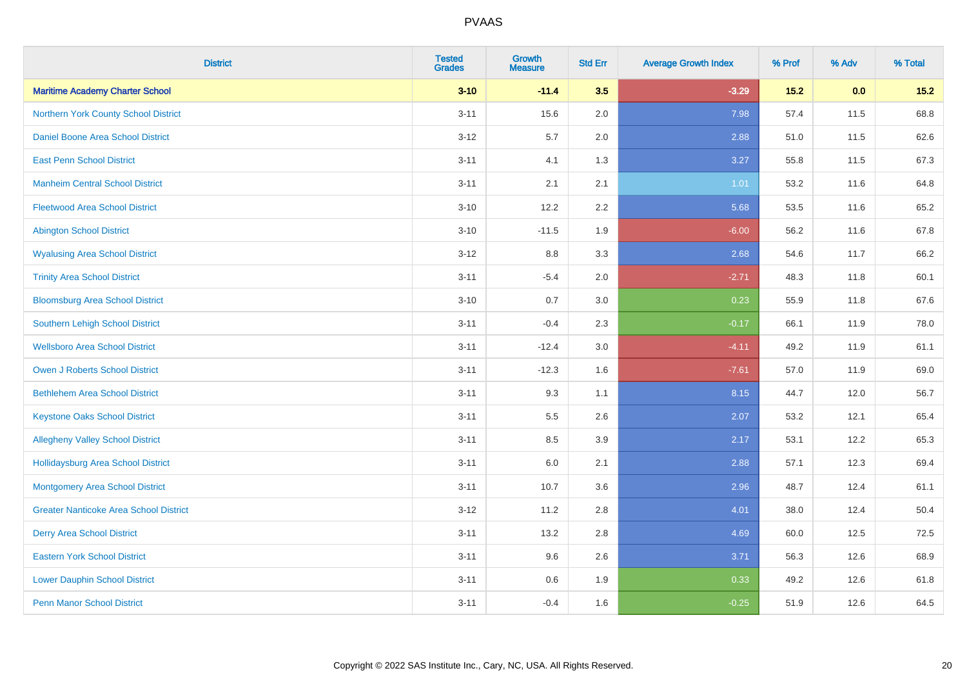| <b>District</b>                               | <b>Tested</b><br><b>Grades</b> | <b>Growth</b><br><b>Measure</b> | <b>Std Err</b> | <b>Average Growth Index</b> | % Prof | % Adv | % Total |
|-----------------------------------------------|--------------------------------|---------------------------------|----------------|-----------------------------|--------|-------|---------|
| <b>Maritime Academy Charter School</b>        | $3 - 10$                       | $-11.4$                         | 3.5            | $-3.29$                     | 15.2   | 0.0   | 15.2    |
| Northern York County School District          | $3 - 11$                       | 15.6                            | 2.0            | 7.98                        | 57.4   | 11.5  | 68.8    |
| Daniel Boone Area School District             | $3 - 12$                       | 5.7                             | 2.0            | 2.88                        | 51.0   | 11.5  | 62.6    |
| <b>East Penn School District</b>              | $3 - 11$                       | 4.1                             | 1.3            | 3.27                        | 55.8   | 11.5  | 67.3    |
| <b>Manheim Central School District</b>        | $3 - 11$                       | 2.1                             | 2.1            | 1.01                        | 53.2   | 11.6  | 64.8    |
| <b>Fleetwood Area School District</b>         | $3 - 10$                       | 12.2                            | 2.2            | 5.68                        | 53.5   | 11.6  | 65.2    |
| <b>Abington School District</b>               | $3 - 10$                       | $-11.5$                         | 1.9            | $-6.00$                     | 56.2   | 11.6  | 67.8    |
| <b>Wyalusing Area School District</b>         | $3 - 12$                       | $8.8\,$                         | 3.3            | 2.68                        | 54.6   | 11.7  | 66.2    |
| <b>Trinity Area School District</b>           | $3 - 11$                       | $-5.4$                          | 2.0            | $-2.71$                     | 48.3   | 11.8  | 60.1    |
| <b>Bloomsburg Area School District</b>        | $3 - 10$                       | 0.7                             | 3.0            | 0.23                        | 55.9   | 11.8  | 67.6    |
| Southern Lehigh School District               | $3 - 11$                       | $-0.4$                          | 2.3            | $-0.17$                     | 66.1   | 11.9  | 78.0    |
| <b>Wellsboro Area School District</b>         | $3 - 11$                       | $-12.4$                         | 3.0            | $-4.11$                     | 49.2   | 11.9  | 61.1    |
| Owen J Roberts School District                | $3 - 11$                       | $-12.3$                         | 1.6            | $-7.61$                     | 57.0   | 11.9  | 69.0    |
| <b>Bethlehem Area School District</b>         | $3 - 11$                       | 9.3                             | 1.1            | 8.15                        | 44.7   | 12.0  | 56.7    |
| <b>Keystone Oaks School District</b>          | $3 - 11$                       | $5.5\,$                         | 2.6            | 2.07                        | 53.2   | 12.1  | 65.4    |
| <b>Allegheny Valley School District</b>       | $3 - 11$                       | 8.5                             | 3.9            | 2.17                        | 53.1   | 12.2  | 65.3    |
| <b>Hollidaysburg Area School District</b>     | $3 - 11$                       | 6.0                             | 2.1            | 2.88                        | 57.1   | 12.3  | 69.4    |
| <b>Montgomery Area School District</b>        | $3 - 11$                       | 10.7                            | 3.6            | 2.96                        | 48.7   | 12.4  | 61.1    |
| <b>Greater Nanticoke Area School District</b> | $3 - 12$                       | 11.2                            | 2.8            | 4.01                        | 38.0   | 12.4  | 50.4    |
| <b>Derry Area School District</b>             | $3 - 11$                       | 13.2                            | 2.8            | 4.69                        | 60.0   | 12.5  | 72.5    |
| <b>Eastern York School District</b>           | $3 - 11$                       | 9.6                             | 2.6            | 3.71                        | 56.3   | 12.6  | 68.9    |
| <b>Lower Dauphin School District</b>          | $3 - 11$                       | $0.6\,$                         | 1.9            | 0.33                        | 49.2   | 12.6  | 61.8    |
| <b>Penn Manor School District</b>             | $3 - 11$                       | $-0.4$                          | 1.6            | $-0.25$                     | 51.9   | 12.6  | 64.5    |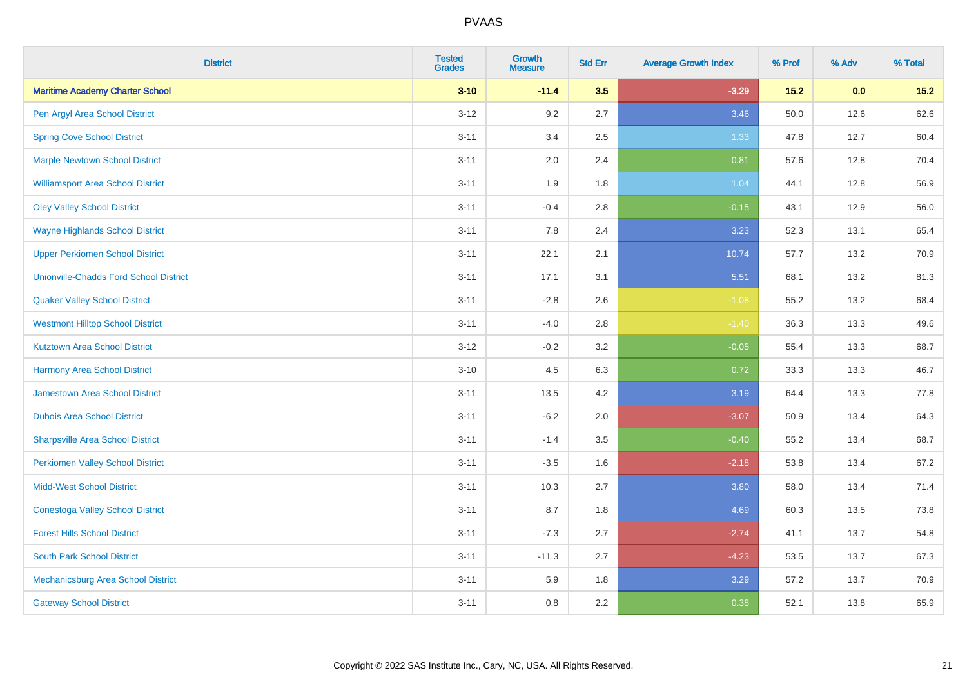| <b>District</b>                               | <b>Tested</b><br><b>Grades</b> | <b>Growth</b><br><b>Measure</b> | <b>Std Err</b> | <b>Average Growth Index</b> | % Prof | % Adv | % Total |
|-----------------------------------------------|--------------------------------|---------------------------------|----------------|-----------------------------|--------|-------|---------|
| <b>Maritime Academy Charter School</b>        | $3 - 10$                       | $-11.4$                         | 3.5            | $-3.29$                     | $15.2$ | 0.0   | $15.2$  |
| Pen Argyl Area School District                | $3 - 12$                       | 9.2                             | 2.7            | 3.46                        | 50.0   | 12.6  | 62.6    |
| <b>Spring Cove School District</b>            | $3 - 11$                       | 3.4                             | 2.5            | 1.33                        | 47.8   | 12.7  | 60.4    |
| <b>Marple Newtown School District</b>         | $3 - 11$                       | 2.0                             | 2.4            | 0.81                        | 57.6   | 12.8  | 70.4    |
| <b>Williamsport Area School District</b>      | $3 - 11$                       | 1.9                             | 1.8            | 1.04                        | 44.1   | 12.8  | 56.9    |
| <b>Oley Valley School District</b>            | $3 - 11$                       | $-0.4$                          | 2.8            | $-0.15$                     | 43.1   | 12.9  | 56.0    |
| <b>Wayne Highlands School District</b>        | $3 - 11$                       | 7.8                             | 2.4            | 3.23                        | 52.3   | 13.1  | 65.4    |
| <b>Upper Perkiomen School District</b>        | $3 - 11$                       | 22.1                            | 2.1            | 10.74                       | 57.7   | 13.2  | 70.9    |
| <b>Unionville-Chadds Ford School District</b> | $3 - 11$                       | 17.1                            | 3.1            | 5.51                        | 68.1   | 13.2  | 81.3    |
| <b>Quaker Valley School District</b>          | $3 - 11$                       | $-2.8$                          | 2.6            | $-1.08$                     | 55.2   | 13.2  | 68.4    |
| <b>Westmont Hilltop School District</b>       | $3 - 11$                       | $-4.0$                          | 2.8            | $-1.40$                     | 36.3   | 13.3  | 49.6    |
| <b>Kutztown Area School District</b>          | $3 - 12$                       | $-0.2$                          | 3.2            | $-0.05$                     | 55.4   | 13.3  | 68.7    |
| <b>Harmony Area School District</b>           | $3 - 10$                       | 4.5                             | 6.3            | 0.72                        | 33.3   | 13.3  | 46.7    |
| Jamestown Area School District                | $3 - 11$                       | 13.5                            | 4.2            | 3.19                        | 64.4   | 13.3  | 77.8    |
| <b>Dubois Area School District</b>            | $3 - 11$                       | $-6.2$                          | 2.0            | $-3.07$                     | 50.9   | 13.4  | 64.3    |
| <b>Sharpsville Area School District</b>       | $3 - 11$                       | $-1.4$                          | 3.5            | $-0.40$                     | 55.2   | 13.4  | 68.7    |
| <b>Perkiomen Valley School District</b>       | $3 - 11$                       | $-3.5$                          | 1.6            | $-2.18$                     | 53.8   | 13.4  | 67.2    |
| <b>Midd-West School District</b>              | $3 - 11$                       | 10.3                            | 2.7            | 3.80                        | 58.0   | 13.4  | 71.4    |
| <b>Conestoga Valley School District</b>       | $3 - 11$                       | 8.7                             | 1.8            | 4.69                        | 60.3   | 13.5  | 73.8    |
| <b>Forest Hills School District</b>           | $3 - 11$                       | $-7.3$                          | 2.7            | $-2.74$                     | 41.1   | 13.7  | 54.8    |
| <b>South Park School District</b>             | $3 - 11$                       | $-11.3$                         | 2.7            | $-4.23$                     | 53.5   | 13.7  | 67.3    |
| Mechanicsburg Area School District            | $3 - 11$                       | 5.9                             | 1.8            | 3.29                        | 57.2   | 13.7  | 70.9    |
| <b>Gateway School District</b>                | $3 - 11$                       | 0.8                             | 2.2            | 0.38                        | 52.1   | 13.8  | 65.9    |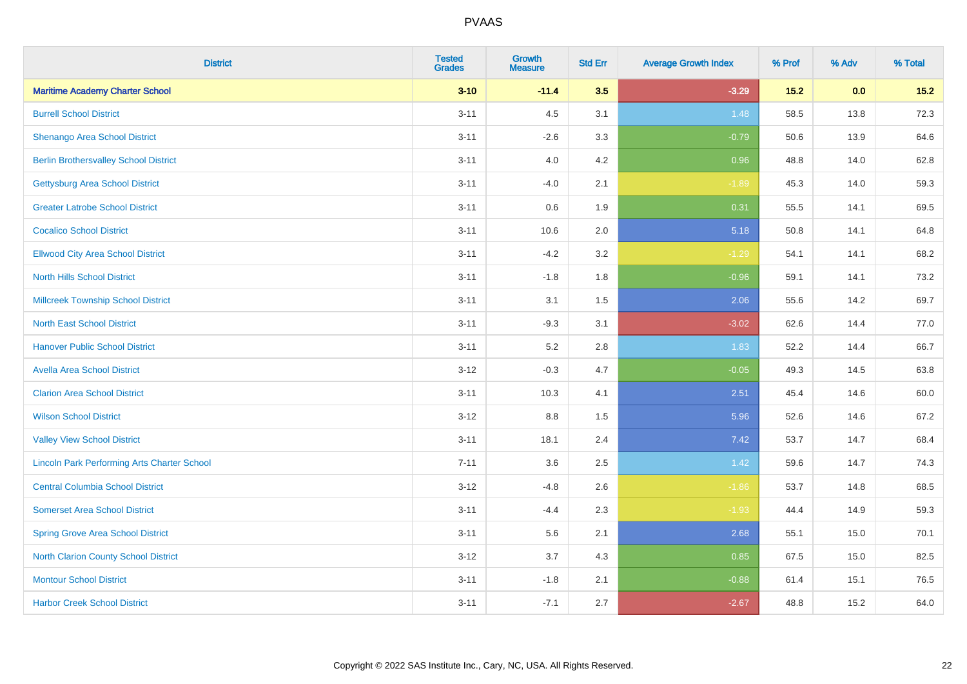| <b>District</b>                                    | <b>Tested</b><br><b>Grades</b> | <b>Growth</b><br><b>Measure</b> | <b>Std Err</b> | <b>Average Growth Index</b> | % Prof | % Adv | % Total |
|----------------------------------------------------|--------------------------------|---------------------------------|----------------|-----------------------------|--------|-------|---------|
| <b>Maritime Academy Charter School</b>             | $3 - 10$                       | $-11.4$                         | 3.5            | $-3.29$                     | 15.2   | 0.0   | $15.2$  |
| <b>Burrell School District</b>                     | $3 - 11$                       | 4.5                             | 3.1            | 1.48                        | 58.5   | 13.8  | 72.3    |
| Shenango Area School District                      | $3 - 11$                       | $-2.6$                          | 3.3            | $-0.79$                     | 50.6   | 13.9  | 64.6    |
| <b>Berlin Brothersvalley School District</b>       | $3 - 11$                       | 4.0                             | 4.2            | 0.96                        | 48.8   | 14.0  | 62.8    |
| <b>Gettysburg Area School District</b>             | $3 - 11$                       | $-4.0$                          | 2.1            | $-1.89$                     | 45.3   | 14.0  | 59.3    |
| <b>Greater Latrobe School District</b>             | $3 - 11$                       | 0.6                             | 1.9            | 0.31                        | 55.5   | 14.1  | 69.5    |
| <b>Cocalico School District</b>                    | $3 - 11$                       | 10.6                            | 2.0            | 5.18                        | 50.8   | 14.1  | 64.8    |
| <b>Ellwood City Area School District</b>           | $3 - 11$                       | $-4.2$                          | 3.2            | $-1.29$                     | 54.1   | 14.1  | 68.2    |
| <b>North Hills School District</b>                 | $3 - 11$                       | $-1.8$                          | 1.8            | $-0.96$                     | 59.1   | 14.1  | 73.2    |
| <b>Millcreek Township School District</b>          | $3 - 11$                       | 3.1                             | 1.5            | 2.06                        | 55.6   | 14.2  | 69.7    |
| <b>North East School District</b>                  | $3 - 11$                       | $-9.3$                          | 3.1            | $-3.02$                     | 62.6   | 14.4  | 77.0    |
| <b>Hanover Public School District</b>              | $3 - 11$                       | 5.2                             | 2.8            | 1.83                        | 52.2   | 14.4  | 66.7    |
| <b>Avella Area School District</b>                 | $3 - 12$                       | $-0.3$                          | 4.7            | $-0.05$                     | 49.3   | 14.5  | 63.8    |
| <b>Clarion Area School District</b>                | $3 - 11$                       | 10.3                            | 4.1            | 2.51                        | 45.4   | 14.6  | 60.0    |
| <b>Wilson School District</b>                      | $3 - 12$                       | $8.8\,$                         | 1.5            | 5.96                        | 52.6   | 14.6  | 67.2    |
| <b>Valley View School District</b>                 | $3 - 11$                       | 18.1                            | 2.4            | 7.42                        | 53.7   | 14.7  | 68.4    |
| <b>Lincoln Park Performing Arts Charter School</b> | $7 - 11$                       | 3.6                             | 2.5            | 1.42                        | 59.6   | 14.7  | 74.3    |
| <b>Central Columbia School District</b>            | $3 - 12$                       | $-4.8$                          | 2.6            | $-1.86$                     | 53.7   | 14.8  | 68.5    |
| <b>Somerset Area School District</b>               | $3 - 11$                       | $-4.4$                          | 2.3            | $-1.93$                     | 44.4   | 14.9  | 59.3    |
| <b>Spring Grove Area School District</b>           | $3 - 11$                       | 5.6                             | 2.1            | 2.68                        | 55.1   | 15.0  | 70.1    |
| <b>North Clarion County School District</b>        | $3 - 12$                       | 3.7                             | 4.3            | 0.85                        | 67.5   | 15.0  | 82.5    |
| <b>Montour School District</b>                     | $3 - 11$                       | $-1.8$                          | 2.1            | $-0.88$                     | 61.4   | 15.1  | 76.5    |
| <b>Harbor Creek School District</b>                | $3 - 11$                       | $-7.1$                          | 2.7            | $-2.67$                     | 48.8   | 15.2  | 64.0    |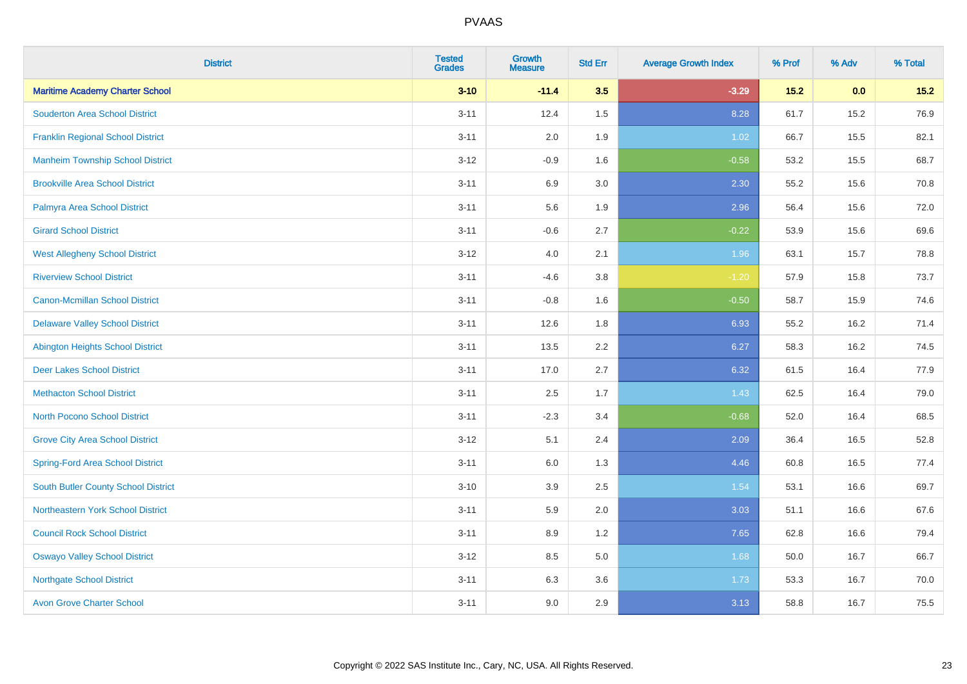| <b>District</b>                            | <b>Tested</b><br><b>Grades</b> | <b>Growth</b><br><b>Measure</b> | <b>Std Err</b> | <b>Average Growth Index</b> | % Prof | % Adv | % Total |
|--------------------------------------------|--------------------------------|---------------------------------|----------------|-----------------------------|--------|-------|---------|
| <b>Maritime Academy Charter School</b>     | $3 - 10$                       | $-11.4$                         | 3.5            | $-3.29$                     | $15.2$ | 0.0   | $15.2$  |
| <b>Souderton Area School District</b>      | $3 - 11$                       | 12.4                            | 1.5            | 8.28                        | 61.7   | 15.2  | 76.9    |
| <b>Franklin Regional School District</b>   | $3 - 11$                       | 2.0                             | 1.9            | 1.02                        | 66.7   | 15.5  | 82.1    |
| <b>Manheim Township School District</b>    | $3 - 12$                       | $-0.9$                          | 1.6            | $-0.58$                     | 53.2   | 15.5  | 68.7    |
| <b>Brookville Area School District</b>     | $3 - 11$                       | 6.9                             | 3.0            | 2.30                        | 55.2   | 15.6  | 70.8    |
| Palmyra Area School District               | $3 - 11$                       | 5.6                             | 1.9            | 2.96                        | 56.4   | 15.6  | 72.0    |
| <b>Girard School District</b>              | $3 - 11$                       | $-0.6$                          | 2.7            | $-0.22$                     | 53.9   | 15.6  | 69.6    |
| <b>West Allegheny School District</b>      | $3 - 12$                       | 4.0                             | 2.1            | 1.96                        | 63.1   | 15.7  | 78.8    |
| <b>Riverview School District</b>           | $3 - 11$                       | $-4.6$                          | 3.8            | $-1.20$                     | 57.9   | 15.8  | 73.7    |
| <b>Canon-Mcmillan School District</b>      | $3 - 11$                       | $-0.8$                          | 1.6            | $-0.50$                     | 58.7   | 15.9  | 74.6    |
| <b>Delaware Valley School District</b>     | $3 - 11$                       | 12.6                            | 1.8            | 6.93                        | 55.2   | 16.2  | 71.4    |
| <b>Abington Heights School District</b>    | $3 - 11$                       | 13.5                            | 2.2            | 6.27                        | 58.3   | 16.2  | 74.5    |
| <b>Deer Lakes School District</b>          | $3 - 11$                       | 17.0                            | 2.7            | 6.32                        | 61.5   | 16.4  | 77.9    |
| <b>Methacton School District</b>           | $3 - 11$                       | 2.5                             | 1.7            | 1.43                        | 62.5   | 16.4  | 79.0    |
| <b>North Pocono School District</b>        | $3 - 11$                       | $-2.3$                          | 3.4            | $-0.68$                     | 52.0   | 16.4  | 68.5    |
| <b>Grove City Area School District</b>     | $3 - 12$                       | 5.1                             | 2.4            | 2.09                        | 36.4   | 16.5  | 52.8    |
| <b>Spring-Ford Area School District</b>    | $3 - 11$                       | 6.0                             | 1.3            | 4.46                        | 60.8   | 16.5  | 77.4    |
| <b>South Butler County School District</b> | $3 - 10$                       | 3.9                             | 2.5            | 1.54                        | 53.1   | 16.6  | 69.7    |
| <b>Northeastern York School District</b>   | $3 - 11$                       | 5.9                             | 2.0            | 3.03                        | 51.1   | 16.6  | 67.6    |
| <b>Council Rock School District</b>        | $3 - 11$                       | 8.9                             | 1.2            | 7.65                        | 62.8   | 16.6  | 79.4    |
| <b>Oswayo Valley School District</b>       | $3 - 12$                       | 8.5                             | 5.0            | 1.68                        | 50.0   | 16.7  | 66.7    |
| <b>Northgate School District</b>           | $3 - 11$                       | 6.3                             | 3.6            | 1.73                        | 53.3   | 16.7  | 70.0    |
| <b>Avon Grove Charter School</b>           | $3 - 11$                       | 9.0                             | 2.9            | 3.13                        | 58.8   | 16.7  | 75.5    |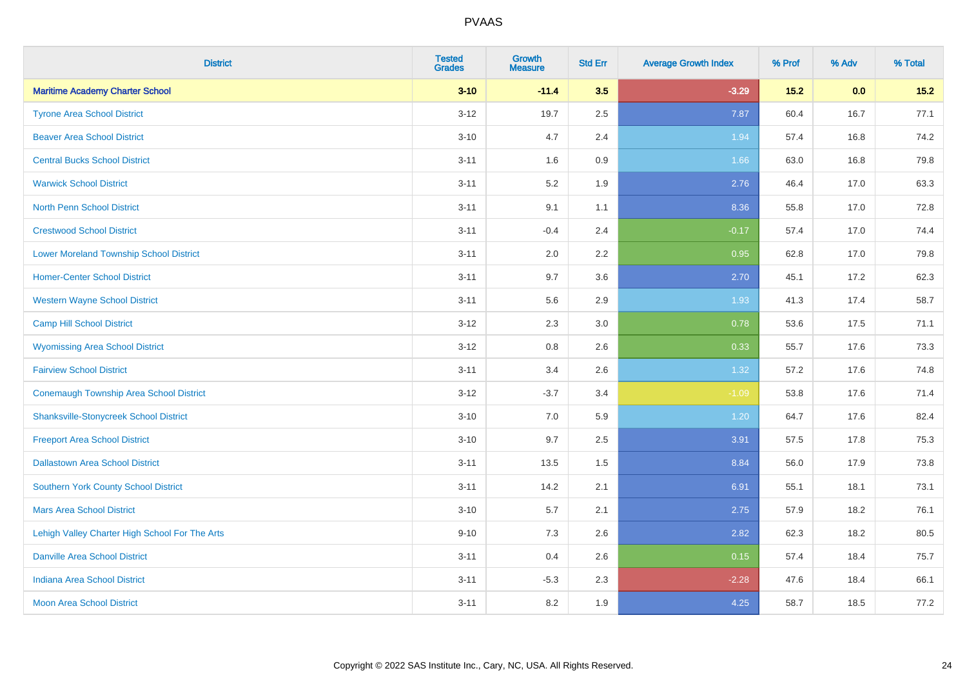| <b>District</b>                                | <b>Tested</b><br><b>Grades</b> | <b>Growth</b><br><b>Measure</b> | <b>Std Err</b> | <b>Average Growth Index</b> | % Prof | % Adv | % Total |
|------------------------------------------------|--------------------------------|---------------------------------|----------------|-----------------------------|--------|-------|---------|
| <b>Maritime Academy Charter School</b>         | $3 - 10$                       | $-11.4$                         | 3.5            | $-3.29$                     | $15.2$ | 0.0   | $15.2$  |
| <b>Tyrone Area School District</b>             | $3 - 12$                       | 19.7                            | 2.5            | 7.87                        | 60.4   | 16.7  | 77.1    |
| <b>Beaver Area School District</b>             | $3 - 10$                       | 4.7                             | 2.4            | 1.94                        | 57.4   | 16.8  | 74.2    |
| <b>Central Bucks School District</b>           | $3 - 11$                       | 1.6                             | 0.9            | 1.66                        | 63.0   | 16.8  | 79.8    |
| <b>Warwick School District</b>                 | $3 - 11$                       | 5.2                             | 1.9            | 2.76                        | 46.4   | 17.0  | 63.3    |
| <b>North Penn School District</b>              | $3 - 11$                       | 9.1                             | 1.1            | 8.36                        | 55.8   | 17.0  | 72.8    |
| <b>Crestwood School District</b>               | $3 - 11$                       | $-0.4$                          | 2.4            | $-0.17$                     | 57.4   | 17.0  | 74.4    |
| <b>Lower Moreland Township School District</b> | $3 - 11$                       | 2.0                             | 2.2            | 0.95                        | 62.8   | 17.0  | 79.8    |
| <b>Homer-Center School District</b>            | $3 - 11$                       | 9.7                             | 3.6            | 2.70                        | 45.1   | 17.2  | 62.3    |
| <b>Western Wayne School District</b>           | $3 - 11$                       | 5.6                             | 2.9            | 1.93                        | 41.3   | 17.4  | 58.7    |
| <b>Camp Hill School District</b>               | $3 - 12$                       | 2.3                             | 3.0            | 0.78                        | 53.6   | 17.5  | 71.1    |
| <b>Wyomissing Area School District</b>         | $3 - 12$                       | $0.8\,$                         | 2.6            | 0.33                        | 55.7   | 17.6  | 73.3    |
| <b>Fairview School District</b>                | $3 - 11$                       | 3.4                             | 2.6            | 1.32                        | 57.2   | 17.6  | 74.8    |
| <b>Conemaugh Township Area School District</b> | $3-12$                         | $-3.7$                          | 3.4            | $-1.09$                     | 53.8   | 17.6  | 71.4    |
| <b>Shanksville-Stonycreek School District</b>  | $3 - 10$                       | 7.0                             | 5.9            | 1.20                        | 64.7   | 17.6  | 82.4    |
| <b>Freeport Area School District</b>           | $3 - 10$                       | 9.7                             | 2.5            | 3.91                        | 57.5   | 17.8  | 75.3    |
| <b>Dallastown Area School District</b>         | $3 - 11$                       | 13.5                            | 1.5            | 8.84                        | 56.0   | 17.9  | 73.8    |
| Southern York County School District           | $3 - 11$                       | 14.2                            | 2.1            | 6.91                        | 55.1   | 18.1  | 73.1    |
| <b>Mars Area School District</b>               | $3 - 10$                       | 5.7                             | 2.1            | 2.75                        | 57.9   | 18.2  | 76.1    |
| Lehigh Valley Charter High School For The Arts | $9 - 10$                       | 7.3                             | 2.6            | 2.82                        | 62.3   | 18.2  | 80.5    |
| <b>Danville Area School District</b>           | $3 - 11$                       | 0.4                             | 2.6            | 0.15                        | 57.4   | 18.4  | 75.7    |
| <b>Indiana Area School District</b>            | $3 - 11$                       | $-5.3$                          | 2.3            | $-2.28$                     | 47.6   | 18.4  | 66.1    |
| <b>Moon Area School District</b>               | $3 - 11$                       | 8.2                             | 1.9            | 4.25                        | 58.7   | 18.5  | 77.2    |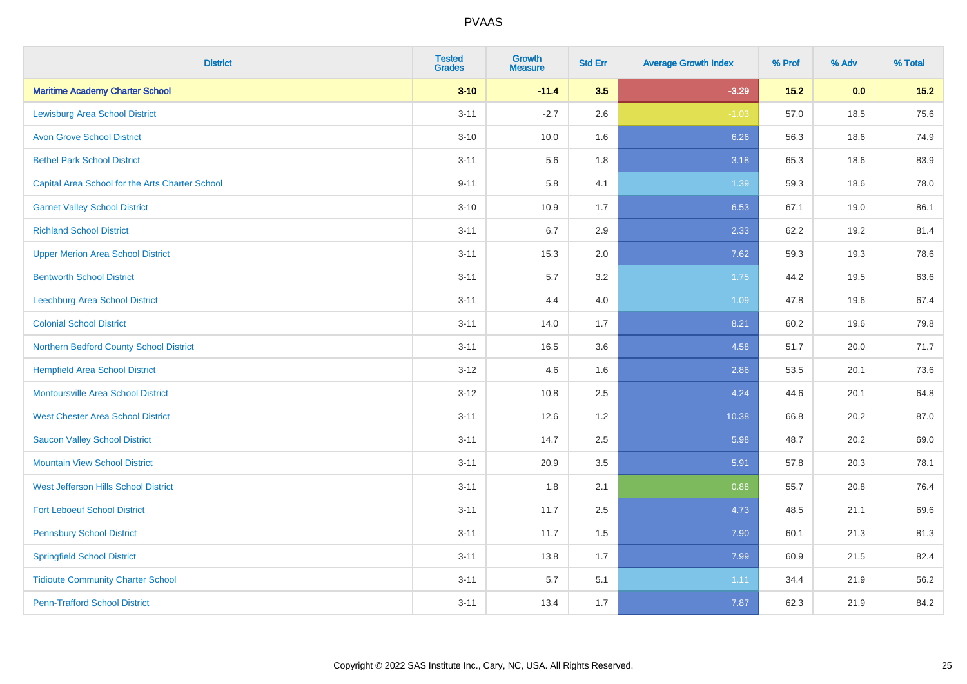| <b>District</b>                                 | <b>Tested</b><br><b>Grades</b> | <b>Growth</b><br><b>Measure</b> | <b>Std Err</b> | <b>Average Growth Index</b> | % Prof | % Adv | % Total |
|-------------------------------------------------|--------------------------------|---------------------------------|----------------|-----------------------------|--------|-------|---------|
| <b>Maritime Academy Charter School</b>          | $3 - 10$                       | $-11.4$                         | 3.5            | $-3.29$                     | 15.2   | 0.0   | $15.2$  |
| <b>Lewisburg Area School District</b>           | $3 - 11$                       | $-2.7$                          | 2.6            | $-1.03$                     | 57.0   | 18.5  | 75.6    |
| <b>Avon Grove School District</b>               | $3 - 10$                       | 10.0                            | 1.6            | 6.26                        | 56.3   | 18.6  | 74.9    |
| <b>Bethel Park School District</b>              | $3 - 11$                       | 5.6                             | 1.8            | 3.18                        | 65.3   | 18.6  | 83.9    |
| Capital Area School for the Arts Charter School | $9 - 11$                       | 5.8                             | 4.1            | 1.39                        | 59.3   | 18.6  | 78.0    |
| <b>Garnet Valley School District</b>            | $3 - 10$                       | 10.9                            | 1.7            | 6.53                        | 67.1   | 19.0  | 86.1    |
| <b>Richland School District</b>                 | $3 - 11$                       | 6.7                             | 2.9            | 2.33                        | 62.2   | 19.2  | 81.4    |
| <b>Upper Merion Area School District</b>        | $3 - 11$                       | 15.3                            | 2.0            | 7.62                        | 59.3   | 19.3  | 78.6    |
| <b>Bentworth School District</b>                | $3 - 11$                       | 5.7                             | 3.2            | 1.75                        | 44.2   | 19.5  | 63.6    |
| <b>Leechburg Area School District</b>           | $3 - 11$                       | 4.4                             | 4.0            | 1.09                        | 47.8   | 19.6  | 67.4    |
| <b>Colonial School District</b>                 | $3 - 11$                       | 14.0                            | 1.7            | 8.21                        | 60.2   | 19.6  | 79.8    |
| Northern Bedford County School District         | $3 - 11$                       | 16.5                            | 3.6            | 4.58                        | 51.7   | 20.0  | 71.7    |
| <b>Hempfield Area School District</b>           | $3 - 12$                       | 4.6                             | 1.6            | 2.86                        | 53.5   | 20.1  | 73.6    |
| <b>Montoursville Area School District</b>       | $3 - 12$                       | 10.8                            | 2.5            | 4.24                        | 44.6   | 20.1  | 64.8    |
| <b>West Chester Area School District</b>        | $3 - 11$                       | 12.6                            | 1.2            | 10.38                       | 66.8   | 20.2  | 87.0    |
| <b>Saucon Valley School District</b>            | $3 - 11$                       | 14.7                            | 2.5            | 5.98                        | 48.7   | 20.2  | 69.0    |
| <b>Mountain View School District</b>            | $3 - 11$                       | 20.9                            | 3.5            | 5.91                        | 57.8   | 20.3  | 78.1    |
| West Jefferson Hills School District            | $3 - 11$                       | 1.8                             | 2.1            | 0.88                        | 55.7   | 20.8  | 76.4    |
| <b>Fort Leboeuf School District</b>             | $3 - 11$                       | 11.7                            | 2.5            | 4.73                        | 48.5   | 21.1  | 69.6    |
| <b>Pennsbury School District</b>                | $3 - 11$                       | 11.7                            | 1.5            | 7.90                        | 60.1   | 21.3  | 81.3    |
| <b>Springfield School District</b>              | $3 - 11$                       | 13.8                            | 1.7            | 7.99                        | 60.9   | 21.5  | 82.4    |
| <b>Tidioute Community Charter School</b>        | $3 - 11$                       | 5.7                             | 5.1            | 1.11                        | 34.4   | 21.9  | 56.2    |
| <b>Penn-Trafford School District</b>            | $3 - 11$                       | 13.4                            | 1.7            | 7.87                        | 62.3   | 21.9  | 84.2    |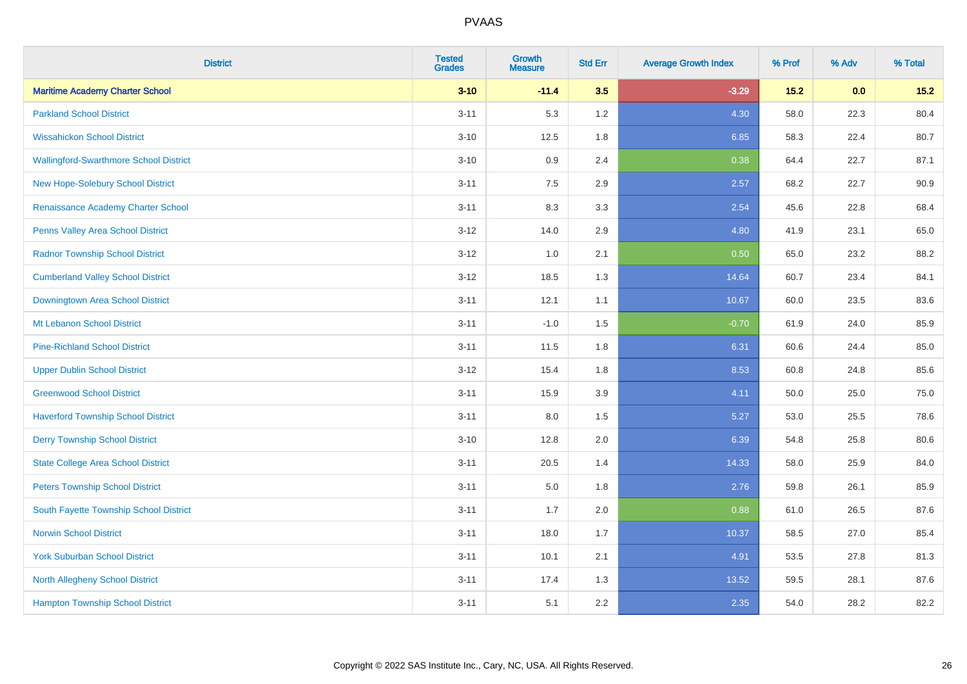| <b>District</b>                               | <b>Tested</b><br><b>Grades</b> | <b>Growth</b><br><b>Measure</b> | <b>Std Err</b> | <b>Average Growth Index</b> | % Prof | % Adv | % Total |
|-----------------------------------------------|--------------------------------|---------------------------------|----------------|-----------------------------|--------|-------|---------|
| <b>Maritime Academy Charter School</b>        | $3 - 10$                       | $-11.4$                         | 3.5            | $-3.29$                     | $15.2$ | 0.0   | $15.2$  |
| <b>Parkland School District</b>               | $3 - 11$                       | 5.3                             | 1.2            | 4.30                        | 58.0   | 22.3  | 80.4    |
| <b>Wissahickon School District</b>            | $3 - 10$                       | 12.5                            | 1.8            | 6.85                        | 58.3   | 22.4  | 80.7    |
| <b>Wallingford-Swarthmore School District</b> | $3 - 10$                       | 0.9                             | 2.4            | 0.38                        | 64.4   | 22.7  | 87.1    |
| New Hope-Solebury School District             | $3 - 11$                       | 7.5                             | 2.9            | 2.57                        | 68.2   | 22.7  | 90.9    |
| Renaissance Academy Charter School            | $3 - 11$                       | 8.3                             | 3.3            | 2.54                        | 45.6   | 22.8  | 68.4    |
| <b>Penns Valley Area School District</b>      | $3 - 12$                       | 14.0                            | 2.9            | 4.80                        | 41.9   | 23.1  | 65.0    |
| <b>Radnor Township School District</b>        | $3 - 12$                       | 1.0                             | 2.1            | 0.50                        | 65.0   | 23.2  | 88.2    |
| <b>Cumberland Valley School District</b>      | $3-12$                         | 18.5                            | 1.3            | 14.64                       | 60.7   | 23.4  | 84.1    |
| Downingtown Area School District              | $3 - 11$                       | 12.1                            | 1.1            | 10.67                       | 60.0   | 23.5  | 83.6    |
| Mt Lebanon School District                    | $3 - 11$                       | $-1.0$                          | 1.5            | $-0.70$                     | 61.9   | 24.0  | 85.9    |
| <b>Pine-Richland School District</b>          | $3 - 11$                       | 11.5                            | 1.8            | 6.31                        | 60.6   | 24.4  | 85.0    |
| <b>Upper Dublin School District</b>           | $3 - 12$                       | 15.4                            | 1.8            | 8.53                        | 60.8   | 24.8  | 85.6    |
| <b>Greenwood School District</b>              | $3 - 11$                       | 15.9                            | 3.9            | 4.11                        | 50.0   | 25.0  | 75.0    |
| <b>Haverford Township School District</b>     | $3 - 11$                       | 8.0                             | 1.5            | 5.27                        | 53.0   | 25.5  | 78.6    |
| <b>Derry Township School District</b>         | $3 - 10$                       | 12.8                            | 2.0            | 6.39                        | 54.8   | 25.8  | 80.6    |
| <b>State College Area School District</b>     | $3 - 11$                       | 20.5                            | 1.4            | 14.33                       | 58.0   | 25.9  | 84.0    |
| <b>Peters Township School District</b>        | $3 - 11$                       | 5.0                             | 1.8            | 2.76                        | 59.8   | 26.1  | 85.9    |
| South Fayette Township School District        | $3 - 11$                       | 1.7                             | 2.0            | 0.88                        | 61.0   | 26.5  | 87.6    |
| <b>Norwin School District</b>                 | $3 - 11$                       | 18.0                            | 1.7            | 10.37                       | 58.5   | 27.0  | 85.4    |
| <b>York Suburban School District</b>          | $3 - 11$                       | 10.1                            | 2.1            | 4.91                        | 53.5   | 27.8  | 81.3    |
| North Allegheny School District               | $3 - 11$                       | 17.4                            | 1.3            | 13.52                       | 59.5   | 28.1  | 87.6    |
| <b>Hampton Township School District</b>       | $3 - 11$                       | 5.1                             | 2.2            | 2.35                        | 54.0   | 28.2  | 82.2    |